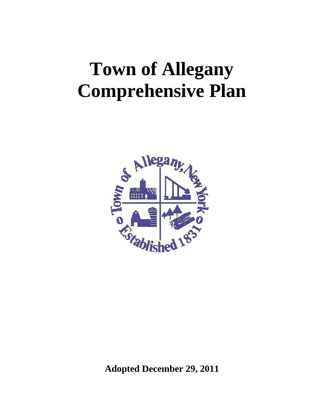# **Town of Allegany Comprehensive Plan**



**Adopted December 29, 2011**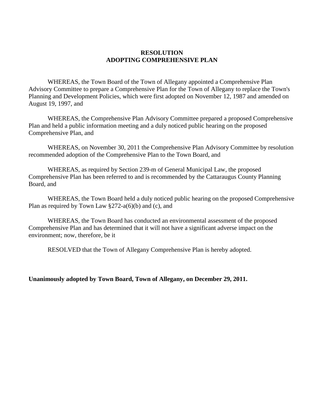#### **RESOLUTION ADOPTING COMPREHENSIVE PLAN**

WHEREAS, the Town Board of the Town of Allegany appointed a Comprehensive Plan Advisory Committee to prepare a Comprehensive Plan for the Town of Allegany to replace the Town's Planning and Development Policies, which were first adopted on November 12, 1987 and amended on August 19, 1997, and

WHEREAS, the Comprehensive Plan Advisory Committee prepared a proposed Comprehensive Plan and held a public information meeting and a duly noticed public hearing on the proposed Comprehensive Plan, and

WHEREAS, on November 30, 2011 the Comprehensive Plan Advisory Committee by resolution recommended adoption of the Comprehensive Plan to the Town Board, and

WHEREAS, as required by Section 239-m of General Municipal Law, the proposed Comprehensive Plan has been referred to and is recommended by the Cattaraugus County Planning Board, and

WHEREAS, the Town Board held a duly noticed public hearing on the proposed Comprehensive Plan as required by Town Law  $\S 272-a(6)(b)$  and (c), and

WHEREAS, the Town Board has conducted an environmental assessment of the proposed Comprehensive Plan and has determined that it will not have a significant adverse impact on the environment; now, therefore, be it

RESOLVED that the Town of Allegany Comprehensive Plan is hereby adopted.

#### **Unanimously adopted by Town Board, Town of Allegany, on December 29, 2011.**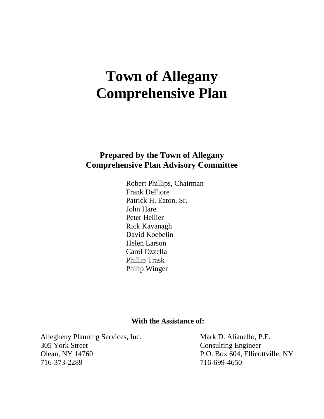## **Town of Allegany Comprehensive Plan**

## **Prepared by the Town of Allegany Comprehensive Plan Advisory Committee**

Robert Phillips, Chairman Frank DeFiore Patrick H. Eaton, Sr. John Hare Peter Hellier Rick Kavanagh David Koebelin Helen Larson Carol Ozzella Phillip Trask Philip Winger

#### **With the Assistance of:**

Allegheny Planning Services, Inc. Mark D. Alianello, P.E. 305 York Street Consulting Engineer Olean, NY 14760 P.O. Box 604, Ellicottville, NY 716-373-2289 716-699-4650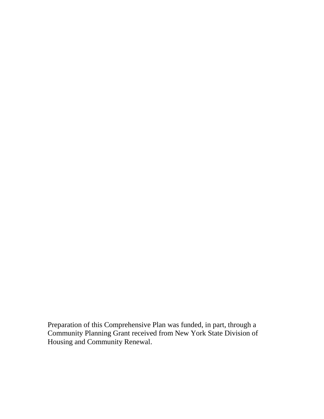Preparation of this Comprehensive Plan was funded, in part, through a Community Planning Grant received from New York State Division of Housing and Community Renewal.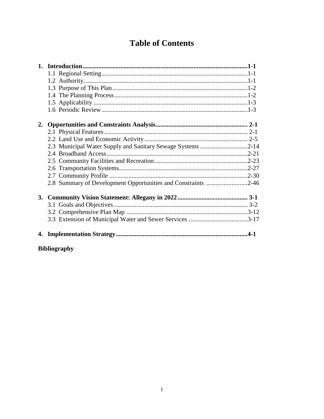## **Table of Contents**

| 2.3 Municipal Water Supply and Sanitary Sewage Systems 2-14   |  |
|---------------------------------------------------------------|--|
|                                                               |  |
|                                                               |  |
|                                                               |  |
|                                                               |  |
| 2.8 Summary of Development Opportunities and Constraints 2-46 |  |
|                                                               |  |
|                                                               |  |
|                                                               |  |
|                                                               |  |
|                                                               |  |

**Bibliography**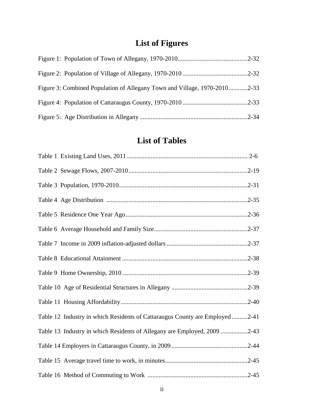## **List of Figures**

| Figure 3: Combined Population of Allegany Town and Village, 1970-20102-33 |  |
|---------------------------------------------------------------------------|--|
|                                                                           |  |
|                                                                           |  |

## **List of Tables**

| Table 12 Industry in which Residents of Cattaraugus County are Employed2-41 |
|-----------------------------------------------------------------------------|
| Table 13 Industry in which Residents of Allegany are Employed, 2009 2-43    |
|                                                                             |
|                                                                             |
|                                                                             |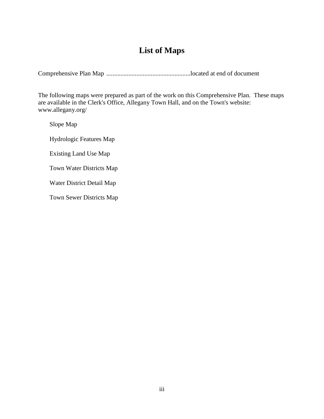## **List of Maps**

Comprehensive Plan Map .....................................................located at end of document

The following maps were prepared as part of the work on this Comprehensive Plan. These maps are available in the Clerk's Office, Allegany Town Hall, and on the Town's website: www.allegany.org/

Slope Map

Hydrologic Features Map

Existing Land Use Map

Town Water Districts Map

Water District Detail Map

Town Sewer Districts Map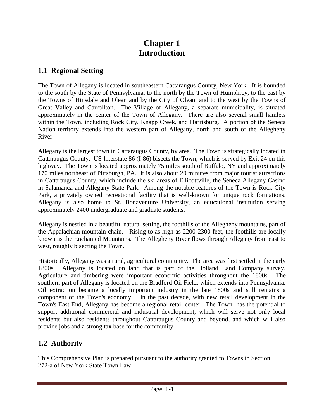## **Chapter 1 Introduction**

## **1.1 Regional Setting**

The Town of Allegany is located in southeastern Cattaraugus County, New York. It is bounded to the south by the State of Pennsylvania, to the north by the Town of Humphrey, to the east by the Towns of Hinsdale and Olean and by the City of Olean, and to the west by the Towns of Great Valley and Carrollton. The Village of Allegany, a separate municipality, is situated approximately in the center of the Town of Allegany. There are also several small hamlets within the Town, including Rock City, Knapp Creek, and Harrisburg. A portion of the Seneca Nation territory extends into the western part of Allegany, north and south of the Allegheny River.

Allegany is the largest town in Cattaraugus County, by area. The Town is strategically located in Cattaraugus County. US Interstate 86 (I-86) bisects the Town, which is served by Exit 24 on this highway. The Town is located approximately 75 miles south of Buffalo, NY and approximately 170 miles northeast of Pittsburgh, PA. It is also about 20 minutes from major tourist attractions in Cattaraugus County, which include the ski areas of Ellicottville, the Seneca Allegany Casino in Salamanca and Allegany State Park. Among the notable features of the Town is Rock City Park, a privately owned recreational facility that is well-known for unique rock formations. Allegany is also home to St. Bonaventure University, an educational institution serving approximately 2400 undergraduate and graduate students.

Allegany is nestled in a beautiful natural setting, the foothills of the Allegheny mountains, part of the Appalachian mountain chain. Rising to as high as 2200-2300 feet, the foothills are locally known as the Enchanted Mountains. The Allegheny River flows through Allegany from east to west, roughly bisecting the Town.

Historically, Allegany was a rural, agricultural community. The area was first settled in the early 1800s. Allegany is located on land that is part of the Holland Land Company survey. Agriculture and timbering were important economic activities throughout the 1800s. southern part of Allegany is located on the Bradford Oil Field, which extends into Pennsylvania. Oil extraction became a locally important industry in the late 1800s and still remains a component of the Town's economy. In the past decade, with new retail development in the Town's East End, Allegany has become a regional retail center. The Town has the potential to support additional commercial and industrial development, which will serve not only local residents but also residents throughout Cattaraugus County and beyond, and which will also provide jobs and a strong tax base for the community.

## **1.2 Authority**

This Comprehensive Plan is prepared pursuant to the authority granted to Towns in Section 272-a of New York State Town Law.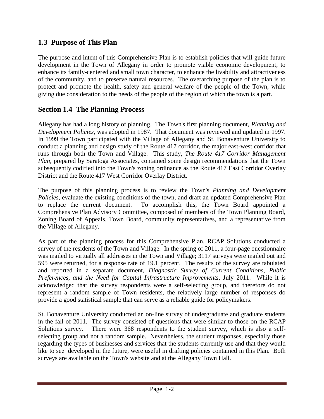## **1.3 Purpose of This Plan**

The purpose and intent of this Comprehensive Plan is to establish policies that will guide future development in the Town of Allegany in order to promote viable economic development, to enhance its family-centered and small town character, to enhance the livability and attractiveness of the community, and to preserve natural resources. The overarching purpose of the plan is to protect and promote the health, safety and general welfare of the people of the Town, while giving due consideration to the needs of the people of the region of which the town is a part.

#### **Section 1.4 The Planning Process**

Allegany has had a long history of planning. The Town's first planning document, *Planning and Development Policies*, was adopted in 1987. That document was reviewed and updated in 1997. In 1999 the Town participated with the Village of Allegany and St. Bonaventure University to conduct a planning and design study of the Route 417 corridor, the major east-west corridor that runs through both the Town and Village. This study, *The Route 417 Corridor Management Plan*, prepared by Saratoga Associates, contained some design recommendations that the Town subsequently codified into the Town's zoning ordinance as the Route 417 East Corridor Overlay District and the Route 417 West Corridor Overlay District.

The purpose of this planning process is to review the Town's *Planning and Development Policies*, evaluate the existing conditions of the town, and draft an updated Comprehensive Plan to replace the current document. To accomplish this, the Town Board appointed a Comprehensive Plan Advisory Committee, composed of members of the Town Planning Board, Zoning Board of Appeals, Town Board, community representatives, and a representative from the Village of Allegany.

As part of the planning process for this Comprehensive Plan, RCAP Solutions conducted a survey of the residents of the Town and Village. In the spring of 2011, a four-page questionnaire was mailed to virtually all addresses in the Town and Village; 3117 surveys were mailed out and 595 were returned, for a response rate of 19.1 percent. The results of the survey are tabulated and reported in a separate document, *Diagnostic Survey of Current Conditions, Public Preferences, and the Need for Capital Infrastructure Improvements*, July 2011. While it is acknowledged that the survey respondents were a self-selecting group, and therefore do not represent a random sample of Town residents, the relatively large number of responses do provide a good statistical sample that can serve as a reliable guide for policymakers.

St. Bonaventure University conducted an on-line survey of undergraduate and graduate students in the fall of 2011. The survey consisted of questions that were similar to those on the RCAP Solutions survey. There were 368 respondents to the student survey, which is also a selfselecting group and not a random sample. Nevertheless, the student responses, especially those regarding the types of businesses and services that the students currently use and that they would like to see developed in the future, were useful in drafting policies contained in this Plan. Both surveys are available on the Town's website and at the Allegany Town Hall.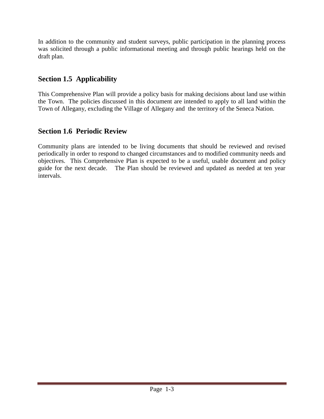In addition to the community and student surveys, public participation in the planning process was solicited through a public informational meeting and through public hearings held on the draft plan.

## **Section 1.5 Applicability**

This Comprehensive Plan will provide a policy basis for making decisions about land use within the Town. The policies discussed in this document are intended to apply to all land within the Town of Allegany, excluding the Village of Allegany and the territory of the Seneca Nation.

## **Section 1.6 Periodic Review**

Community plans are intended to be living documents that should be reviewed and revised periodically in order to respond to changed circumstances and to modified community needs and objectives. This Comprehensive Plan is expected to be a useful, usable document and policy guide for the next decade. The Plan should be reviewed and updated as needed at ten year intervals.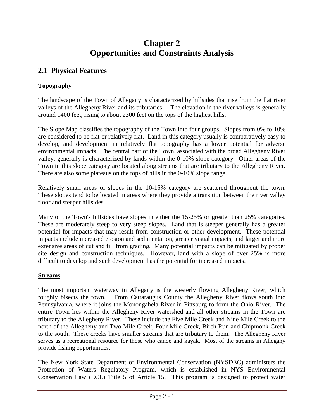## **Chapter 2 Opportunities and Constraints Analysis**

## **2.1 Physical Features**

#### **Topography**

The landscape of the Town of Allegany is characterized by hillsides that rise from the flat river valleys of the Allegheny River and its tributaries. The elevation in the river valleys is generally around 1400 feet, rising to about 2300 feet on the tops of the highest hills.

The Slope Map classifies the topography of the Town into four groups. Slopes from 0% to 10% are considered to be flat or relatively flat. Land in this category usually is comparatively easy to develop, and development in relatively flat topography has a lower potential for adverse environmental impacts. The central part of the Town, associated with the broad Allegheny River valley, generally is characterized by lands within the 0-10% slope category. Other areas of the Town in this slope category are located along streams that are tributary to the Allegheny River. There are also some plateaus on the tops of hills in the 0-10% slope range.

Relatively small areas of slopes in the 10-15% category are scattered throughout the town. These slopes tend to be located in areas where they provide a transition between the river valley floor and steeper hillsides.

Many of the Town's hillsides have slopes in either the 15-25% or greater than 25% categories. These are moderately steep to very steep slopes. Land that is steeper generally has a greater potential for impacts that may result from construction or other development. These potential impacts include increased erosion and sedimentation, greater visual impacts, and larger and more extensive areas of cut and fill from grading. Many potential impacts can be mitigated by proper site design and construction techniques. However, land with a slope of over 25% is more difficult to develop and such development has the potential for increased impacts.

#### **Streams**

The most important waterway in Allegany is the westerly flowing Allegheny River, which roughly bisects the town. From Cattaraugus County the Allegheny River flows south into Pennsylvania, where it joins the Monongahela River in Pittsburg to form the Ohio River. The entire Town lies within the Allegheny River watershed and all other streams in the Town are tributary to the Allegheny River. These include the Five Mile Creek and Nine Mile Creek to the north of the Allegheny and Two Mile Creek, Four Mile Creek, Birch Run and Chipmonk Creek to the south. These creeks have smaller streams that are tributary to them. The Allegheny River serves as a recreational resource for those who canoe and kayak. Most of the streams in Allegany provide fishing opportunities.

The New York State Department of Environmental Conservation (NYSDEC) administers the Protection of Waters Regulatory Program, which is established in NYS Environmental Conservation Law (ECL) Title 5 of Article 15. This program is designed to protect water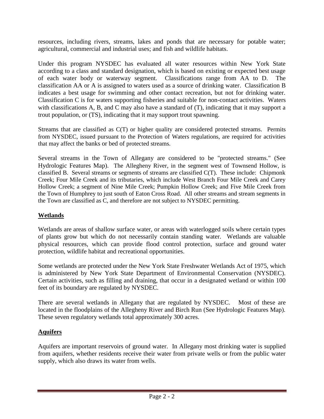resources, including rivers, streams, lakes and ponds that are necessary for potable water; agricultural, commercial and industrial uses; and fish and wildlife habitats.

Under this program NYSDEC has evaluated all water resources within New York State according to a class and standard designation, which is based on existing or expected best usage of each water body or waterway segment. Classifications range from AA to D. The classification AA or A is assigned to waters used as a source of drinking water. Classification B indicates a best usage for swimming and other contact recreation, but not for drinking water. Classification C is for waters supporting fisheries and suitable for non-contact activities. Waters with classifications A, B, and C may also have a standard of  $(T)$ , indicating that it may support a trout population, or (TS), indicating that it may support trout spawning.

Streams that are classified as C(T) or higher quality are considered protected streams. Permits from NYSDEC, issued pursuant to the Protection of Waters regulations, are required for activities that may affect the banks or bed of protected streams.

Several streams in the Town of Allegany are considered to be "protected streams." (See Hydrologic Features Map). The Allegheny River, in the segment west of Townsend Hollow, is classified B. Several streams or segments of streams are classified C(T). These include: Chipmonk Creek; Four Mile Creek and its tributaries, which include West Branch Four Mile Creek and Carey Hollow Creek; a segment of Nine Mile Creek; Pumpkin Hollow Creek; and Five Mile Creek from the Town of Humphrey to just south of Eaton Cross Road. All other streams and stream segments in the Town are classified as C, and therefore are not subject to NYSDEC permitting.

#### **Wetlands**

Wetlands are areas of shallow surface water, or areas with waterlogged soils where certain types of plants grow but which do not necessarily contain standing water. Wetlands are valuable physical resources, which can provide flood control protection, surface and ground water protection, wildlife habitat and recreational opportunities.

Some wetlands are protected under the New York State Freshwater Wetlands Act of 1975, which is administered by New York State Department of Environmental Conservation (NYSDEC). Certain activities, such as filling and draining, that occur in a designated wetland or within 100 feet of its boundary are regulated by NYSDEC.

There are several wetlands in Allegany that are regulated by NYSDEC. Most of these are located in the floodplains of the Allegheny River and Birch Run (See Hydrologic Features Map). These seven regulatory wetlands total approximately 300 acres.

#### **Aquifers**

Aquifers are important reservoirs of ground water. In Allegany most drinking water is supplied from aquifers, whether residents receive their water from private wells or from the public water supply, which also draws its water from wells.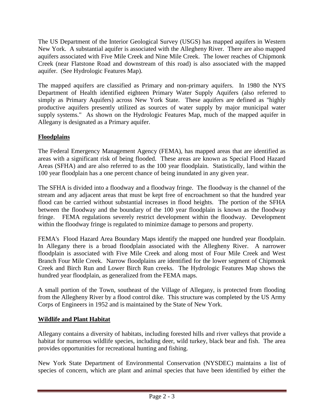The US Department of the Interior Geological Survey (USGS) has mapped aquifers in Western New York. A substantial aquifer is associated with the Allegheny River. There are also mapped aquifers associated with Five Mile Creek and Nine Mile Creek. The lower reaches of Chipmonk Creek (near Flatstone Road and downstream of this road) is also associated with the mapped aquifer. (See Hydrologic Features Map).

The mapped aquifers are classified as Primary and non-primary aquifers. In 1980 the NYS Department of Health identified eighteen Primary Water Supply Aquifers (also referred to simply as Primary Aquifers) across New York State. These aquifers are defined as "highly productive aquifers presently utilized as sources of water supply by major municipal water supply systems." As shown on the Hydrologic Features Map, much of the mapped aquifer in Allegany is designated as a Primary aquifer.

#### **Floodplains**

The Federal Emergency Management Agency (FEMA), has mapped areas that are identified as areas with a significant risk of being flooded. These areas are known as Special Flood Hazard Areas (SFHA) and are also referred to as the 100 year floodplain. Statistically, land within the 100 year floodplain has a one percent chance of being inundated in any given year.

The SFHA is divided into a floodway and a floodway fringe. The floodway is the channel of the stream and any adjacent areas that must be kept free of encroachment so that the hundred year flood can be carried without substantial increases in flood heights. The portion of the SFHA between the floodway and the boundary of the 100 year floodplain is known as the floodway fringe. FEMA regulations severely restrict development within the floodway. Development within the floodway fringe is regulated to minimize damage to persons and property.

FEMA's Flood Hazard Area Boundary Maps identify the mapped one hundred year floodplain. In Allegany there is a broad floodplain associated with the Allegheny River. A narrower floodplain is associated with Five Mile Creek and along most of Four Mile Creek and West Branch Four Mile Creek. Narrow floodplains are identified for the lower segment of Chipmonk Creek and Birch Run and Lower Birch Run creeks. The Hydrologic Features Map shows the hundred year floodplain, as generalized from the FEMA maps.

A small portion of the Town, southeast of the Village of Allegany, is protected from flooding from the Allegheny River by a flood control dike. This structure was completed by the US Army Corps of Engineers in 1952 and is maintained by the State of New York.

#### **Wildlife and Plant Habitat**

Allegany contains a diversity of habitats, including forested hills and river valleys that provide a habitat for numerous wildlife species, including deer, wild turkey, black bear and fish. The area provides opportunities for recreational hunting and fishing.

New York State Department of Environmental Conservation (NYSDEC) maintains a list of species of concern, which are plant and animal species that have been identified by either the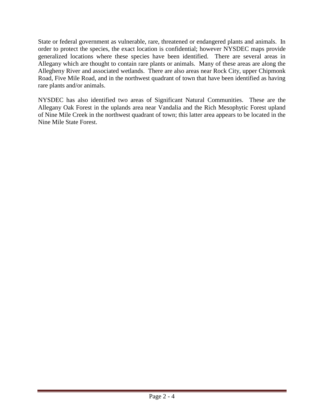State or federal government as vulnerable, rare, threatened or endangered plants and animals. In order to protect the species, the exact location is confidential; however NYSDEC maps provide generalized locations where these species have been identified. There are several areas in Allegany which are thought to contain rare plants or animals. Many of these areas are along the Allegheny River and associated wetlands. There are also areas near Rock City, upper Chipmonk Road, Five Mile Road, and in the northwest quadrant of town that have been identified as having rare plants and/or animals.

NYSDEC has also identified two areas of Significant Natural Communities. These are the Allegany Oak Forest in the uplands area near Vandalia and the Rich Mesophytic Forest upland of Nine Mile Creek in the northwest quadrant of town; this latter area appears to be located in the Nine Mile State Forest.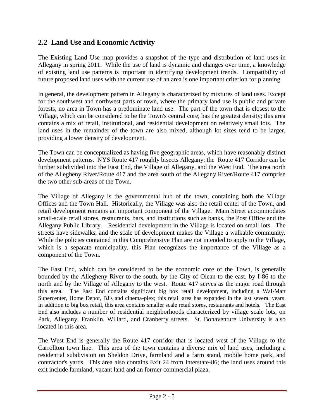### **2.2 Land Use and Economic Activity**

The Existing Land Use map provides a snapshot of the type and distribution of land uses in Allegany in spring 2011. While the use of land is dynamic and changes over time, a knowledge of existing land use patterns is important in identifying development trends. Compatibility of future proposed land uses with the current use of an area is one important criterion for planning.

In general, the development pattern in Allegany is characterized by mixtures of land uses. Except for the southwest and northwest parts of town, where the primary land use is public and private forests, no area in Town has a predominate land use. The part of the town that is closest to the Village, which can be considered to be the Town's central core, has the greatest density; this area contains a mix of retail, institutional, and residential development on relatively small lots. The land uses in the remainder of the town are also mixed, although lot sizes tend to be larger, providing a lower density of development.

The Town can be conceptualized as having five geographic areas, which have reasonably distinct development patterns. NYS Route 417 roughly bisects Allegany; the Route 417 Corridor can be further subdivided into the East End, the Village of Allegany, and the West End. The area north of the Allegheny River/Route 417 and the area south of the Allegany River/Route 417 comprise the two other sub-areas of the Town.

The Village of Allegany is the governmental hub of the town, containing both the Village Offices and the Town Hall. Historically, the Village was also the retail center of the Town, and retail development remains an important component of the Village. Main Street accommodates small-scale retail stores, restaurants, bars, and institutions such as banks, the Post Office and the Allegany Public Library. Residential development in the Village is located on small lots. The streets have sidewalks, and the scale of development makes the Village a walkable community. While the policies contained in this Comprehensive Plan are not intended to apply to the Village, which is a separate municipality, this Plan recognizes the importance of the Village as a component of the Town.

The East End, which can be considered to be the economic core of the Town, is generally bounded by the Allegheny River to the south, by the City of Olean to the east, by I-86 to the north and by the Village of Allegany to the west. Route 417 serves as the major road through this area. The East End contains significant big box retail development, including a Wal-Mart Supercenter, Home Depot, BJ's and cinema-plex; this retail area has expanded in the last several years. In addition to big box retail, this area contains smaller scale retail stores, restaurants and hotels. The East End also includes a number of residential neighborhoods characterized by village scale lots, on Park, Allegany, Franklin, Willard, and Cranberry streets. St. Bonaventure University is also located in this area.

The West End is generally the Route 417 corridor that is located west of the Village to the Carrollton town line. This area of the town contains a diverse mix of land uses, including a residential subdivision on Sheldon Drive, farmland and a farm stand, mobile home park, and contractor's yards. This area also contains Exit 24 from Interstate-86; the land uses around this exit include farmland, vacant land and an former commercial plaza.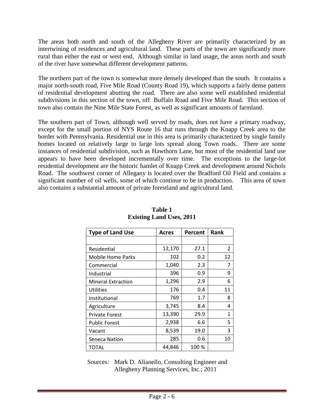The areas both north and south of the Allegheny River are primarily characterized by an intertwining of residences and agricultural land. These parts of the town are significantly more rural than either the east or west end. Although similar in land usage, the areas north and south of the river have somewhat different development patterns.

The northern part of the town is somewhat more densely developed than the south. It contains a major north-south road, Five Mile Road (County Road 19), which supports a fairly dense pattern of residential development abutting the road. There are also some well established residential subdivisions in this section of the town, off Buffalo Road and Five Mile Road. This section of town also contain the Nine Mile State Forest, as well as significant amounts of farmland.

The southern part of Town, although well served by roads, does not have a primary roadway, except for the small portion of NYS Route 16 that runs through the Knapp Creek area to the border with Pennsylvania. Residential use in this area is primarily characterized by single family homes located on relatively large to large lots spread along Town roads. There are some instances of residential subdivision, such as Hawthorn Lane, but most of the residential land use appears to have been developed incrementally over time. The exceptions to the large-lot residential development are the historic hamlet of Knapp Creek and development around Nichols Road. The southwest corner of Allegany is located over the Bradford Oil Field and contains a significant number of oil wells, some of which continue to be in production. This area of town also contains a substantial amount of private forestland and agricultural land.

| <b>Type of Land Use</b>   | Acres  | Percent | Rank         |
|---------------------------|--------|---------|--------------|
|                           |        |         |              |
| Residential               | 12,170 | 27.1    | 2            |
| <b>Mobile Home Parks</b>  | 102    | 0.2     | 12           |
| Commercial                | 1,040  | 2.3     | 7            |
| Industrial                | 396    | 0.9     | 9            |
| <b>Mineral Extraction</b> | 1,296  | 2.9     | 6            |
| Utilities                 | 176    | 0.4     | 11           |
| Institutional             | 769    | 1.7     | 8            |
| Agriculture               | 3,745  | 8.4     | 4            |
| <b>Private Forest</b>     | 13,390 | 29.9    | $\mathbf{1}$ |
| <b>Public Forest</b>      | 2,938  | 6.6     | 5            |
| Vacant                    | 8,539  | 19.0    | 3            |
| Seneca Nation             | 285    | 0.6     | 10           |
| TOTAL                     | 44,846 | 100 %   |              |

**Table 1 Existing Land Uses, 2011**

 Sources: Mark D. Alianello, Consulting Engineer and Allegheny Planning Services, Inc.; 2011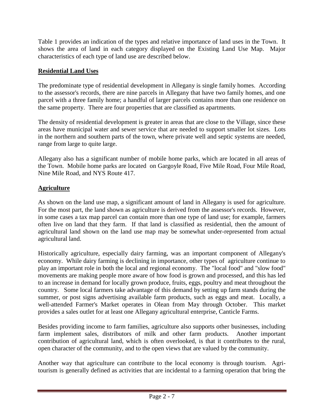Table 1 provides an indication of the types and relative importance of land uses in the Town. It shows the area of land in each category displayed on the Existing Land Use Map. Major characteristics of each type of land use are described below.

#### **Residential Land Uses**

The predominate type of residential development in Allegany is single family homes. According to the assessor's records, there are nine parcels in Allegany that have two family homes, and one parcel with a three family home; a handful of larger parcels contains more than one residence on the same property. There are four properties that are classified as apartments.

The density of residential development is greater in areas that are close to the Village, since these areas have municipal water and sewer service that are needed to support smaller lot sizes. Lots in the northern and southern parts of the town, where private well and septic systems are needed, range from large to quite large.

Allegany also has a significant number of mobile home parks, which are located in all areas of the Town. Mobile home parks are located on Gargoyle Road, Five Mile Road, Four Mile Road, Nine Mile Road, and NYS Route 417.

#### **Agriculture**

As shown on the land use map, a significant amount of land in Allegany is used for agriculture. For the most part, the land shown as agriculture is derived from the assessor's records. However, in some cases a tax map parcel can contain more than one type of land use; for example, farmers often live on land that they farm. If that land is classified as residential, then the amount of agricultural land shown on the land use map may be somewhat under-represented from actual agricultural land.

Historically agriculture, especially dairy farming, was an important component of Allegany's economy. While dairy farming is declining in importance, other types of agriculture continue to play an important role in both the local and regional economy. The "local food" and "slow food" movements are making people more aware of how food is grown and processed, and this has led to an increase in demand for locally grown produce, fruits, eggs, poultry and meat throughout the country. Some local farmers take advantage of this demand by setting up farm stands during the summer, or post signs advertising available farm products, such as eggs and meat. Locally, a well-attended Farmer's Market operates in Olean from May through October. This market provides a sales outlet for at least one Allegany agricultural enterprise, Canticle Farms.

Besides providing income to farm families, agriculture also supports other businesses, including farm implement sales, distributors of milk and other farm products. Another important contribution of agricultural land, which is often overlooked, is that it contributes to the rural, open character of the community, and to the open views that are valued by the community.

Another way that agriculture can contribute to the local economy is through tourism. Agritourism is generally defined as activities that are incidental to a farming operation that bring the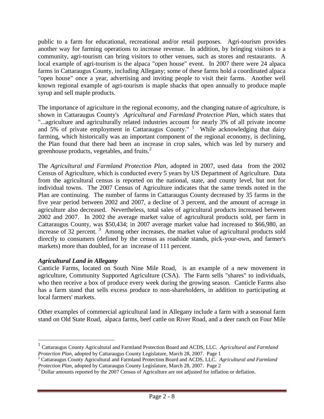public to a farm for educational, recreational and/or retail purposes. Agri-tourism provides another way for farming operations to increase revenue. In addition, by bringing visitors to a community, agri-tourism can bring visitors to other venues, such as stores and restaurants. A local example of agri-tourism is the alpaca "open house" event. In 2007 there were 24 alpaca farms in Cattaraugus County, including Allegany; some of these farms hold a coordinated alpaca "open house" once a year, advertising and inviting people to visit their farms. Another well known regional example of agri-tourism is maple shacks that open annually to produce maple syrup and sell maple products.

The importance of agriculture in the regional economy, and the changing nature of agriculture, is shown in Cattaraugus County's *Agricultural and Farmland Protection Plan*, which states that "...agriculture and agriculturally related industries account for nearly 3% of all private income and  $5%$  of private employment in Cattaraugus County." <sup>1</sup> While acknowledging that dairy farming, which historically was an important component of the regional economy, is declining, the Plan found that there had been an increase in crop sales, which was led by nursery and greenhouse products, vegetables, and fruits. $2$ 

The *Agricultural and Farmland Protection Plan*, adopted in 2007, used data from the 2002 Census of Agriculture, which is conducted every 5 years by US Department of Agriculture. Data from the agricultural census is reported on the national, state, and county level, but not for individual towns. The 2007 Census of Agriculture indicates that the same trends noted in the Plan are continuing. The number of farms in Cattaraugus County decreased by 35 farms in the five year period between 2002 and 2007, a decline of 3 percent, and the amount of acreage in agriculture also decreased. Nevertheless, total sales of agricultural products increased between 2002 and 2007. In 2002 the average market value of agricultural products sold, per farm in Cattaraugus County, was \$50,434; in 2007 average market value had increased to \$66,980, an increase of 32 percent.<sup>3</sup> Among other increases, the market value of agricultural products sold directly to consumers (defined by the census as roadside stands, pick-your-own, and farmer's markets) more than doubled, for an increase of 111 percent.

#### *Agricultural Land in Allegany*

 $\overline{a}$ 

Canticle Farms, located on South Nine Mile Road, is an example of a new movement in agriculture, Community Supported Agriculture (CSA). The Farm sells "shares" to individuals, who then receive a box of produce every week during the growing season. Canticle Farms also has a farm stand that sells excess produce to non-shareholders, in addition to participating at local farmers' markets.

Other examples of commercial agricultural land in Allegany include a farm with a seasonal farm stand on Old State Road, alpaca farms, beef cattle on River Road, and a deer ranch on Four Mile

<sup>1</sup> Cattaraugus County Agricultural and Farmland Protection Board and ACDS, LLC. *Agricultural and Farmland Protection Plan,* adopted by Cattaraugus County Legislature, March 28, 2007. Page 1

<sup>2</sup> Cattaraugus County Agricultural and Farmland Protection Board and ACDS, LLC. *Agricultural and Farmland Protection Plan,* adopted by Cattaraugus County Legislature, March 28, 2007. Page 2

<sup>&</sup>lt;sup>3</sup> Dollar amounts reported by the 2007 Census of Agriculture are not adjusted for inflation or deflation.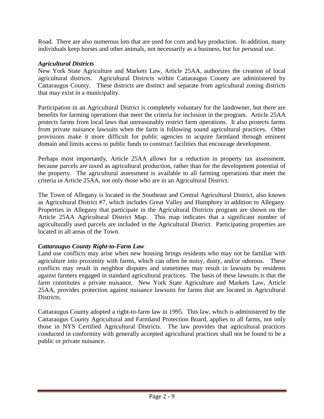Road. There are also numerous lots that are used for corn and hay production. In addition, many individuals keep horses and other animals, not necessarily as a business, but for personal use.

#### *Agricultural Districts*

New York State Agriculture and Markets Law, Article 25AA, authorizes the creation of local agricultural districts. Agricultural Districts within Cattaraugus County are administered by Cattaraugus County. These districts are distinct and separate from agricultural zoning districts that may exist in a municipality.

Participation in an Agricultural District is completely voluntary for the landowner, but there are benefits for farming operations that meet the criteria for inclusion in the program. Article 25AA protects farms from local laws that unreasonably restrict farm operations. It also protects farms from private nuisance lawsuits when the farm is following sound agricultural practices. Other provisions make it more difficult for public agencies to acquire farmland through eminent domain and limits access to public funds to construct facilities that encourage development.

Perhaps most importantly, Article 25AA allows for a reduction in property tax assessment, because parcels are taxed as agricultural production, rather than for the development potential of the property. The agricultural assessment is available to all farming operations that meet the criteria in Article 25AA, not only those who are in an Agricultural District.

The Town of Allegany is located in the Southeast and Central Agricultural District, also known as Agricultural District #7, which includes Great Valley and Humphrey in addition to Allegany. Properties in Allegany that participate in the Agricultural Districts program are shown on the Article 25AA Agricultural District Map. This map indicates that a significant number of agriculturally used parcels are included in the Agricultural District. Participating properties are located in all areas of the Town.

#### *Cattaraugus County Right-to-Farm Law*

Land use conflicts may arise when new housing brings residents who may not be familiar with agriculture into proximity with farms, which can often be noisy, dusty, and/or odorous. These conflicts may result in neighbor disputes and sometimes may result in lawsuits by residents against farmers engaged in standard agricultural practices. The basis of these lawsuits is that the farm constitutes a private nuisance. New York State Agriculture and Markets Law, Article 25AA, provides protection against nuisance lawsuits for farms that are located in Agricultural Districts.

Cattaraugus County adopted a right-to-farm law in 1995. This law, which is administered by the Cattaraugus County Agricultural and Farmland Protection Board, applies to all farms, not only those in NYS Certified Agricultural Districts. The law provides that agricultural practices conducted in conformity with generally accepted agricultural practices shall not be found to be a public or private nuisance.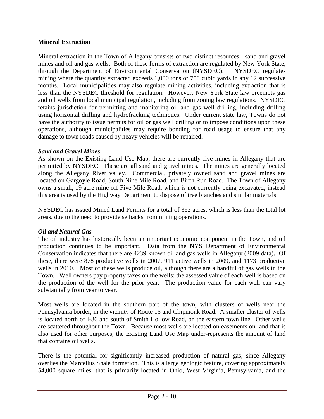#### **Mineral Extraction**

Mineral extraction in the Town of Allegany consists of two distinct resources: sand and gravel mines and oil and gas wells. Both of these forms of extraction are regulated by New York State, through the Department of Environmental Conservation (NYSDEC). NYSDEC regulates mining where the quantity extracted exceeds 1,000 tons or 750 cubic yards in any 12 successive months. Local municipalities may also regulate mining activities, including extraction that is less than the NYSDEC threshold for regulation. However, New York State law preempts gas and oil wells from local municipal regulation, including from zoning law regulations. NYSDEC retains jurisdiction for permitting and monitoring oil and gas well drilling, including drilling using horizontal drilling and hydrofracking techniques. Under current state law, Towns do not have the authority to issue permits for oil or gas well drilling or to impose conditions upon these operations, although municipalities may require bonding for road usage to ensure that any damage to town roads caused by heavy vehicles will be repaired.

#### *Sand and Gravel Mines*

As shown on the Existing Land Use Map, there are currently five mines in Allegany that are permitted by NYSDEC. These are all sand and gravel mines. The mines are generally located along the Allegany River valley. Commercial, privately owned sand and gravel mines are located on Gargoyle Road, South Nine Mile Road, and Birch Run Road. The Town of Allegany owns a small, 19 acre mine off Five Mile Road, which is not currently being excavated; instead this area is used by the Highway Department to dispose of tree branches and similar materials.

NYSDEC has issued Mined Land Permits for a total of 363 acres, which is less than the total lot areas, due to the need to provide setbacks from mining operations.

#### *Oil and Natural Gas*

The oil industry has historically been an important economic component in the Town, and oil production continues to be important. Data from the NYS Department of Environmental Conservation indicates that there are 4239 known oil and gas wells in Allegany (2009 data). Of these, there were 878 productive wells in 2007, 911 active wells in 2009, and 1173 productive wells in 2010. Most of these wells produce oil, although there are a handful of gas wells in the Town. Well owners pay property taxes on the wells; the assessed value of each well is based on the production of the well for the prior year. The production value for each well can vary substantially from year to year.

Most wells are located in the southern part of the town, with clusters of wells near the Pennsylvania border, in the vicinity of Route 16 and Chipmonk Road. A smaller cluster of wells is located north of I-86 and south of Smith Hollow Road, on the eastern town line. Other wells are scattered throughout the Town. Because most wells are located on easements on land that is also used for other purposes, the Existing Land Use Map under-represents the amount of land that contains oil wells.

There is the potential for significantly increased production of natural gas, since Allegany overlies the Marcellus Shale formation. This is a large geologic feature, covering approximately 54,000 square miles, that is primarily located in Ohio, West Virginia, Pennsylvania, and the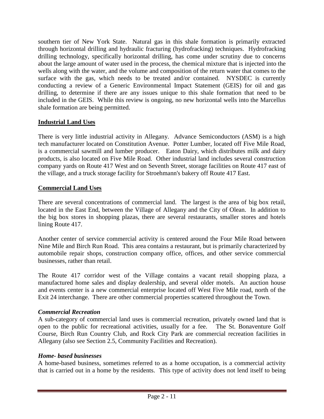southern tier of New York State. Natural gas in this shale formation is primarily extracted through horizontal drilling and hydraulic fracturing (hydrofracking) techniques. Hydrofracking drilling technology, specifically horizontal drilling, has come under scrutiny due to concerns about the large amount of water used in the process, the chemical mixture that is injected into the wells along with the water, and the volume and composition of the return water that comes to the surface with the gas, which needs to be treated and/or contained. NYSDEC is currently conducting a review of a Generic Environmental Impact Statement (GEIS) for oil and gas drilling, to determine if there are any issues unique to this shale formation that need to be included in the GEIS. While this review is ongoing, no new horizontal wells into the Marcellus shale formation are being permitted.

#### **Industrial Land Uses**

There is very little industrial activity in Allegany. Advance Semiconductors (ASM) is a high tech manufacturer located on Constitution Avenue. Potter Lumber, located off Five Mile Road, is a commercial sawmill and lumber producer. Eaton Dairy, which distributes milk and dairy products, is also located on Five Mile Road. Other industrial land includes several construction company yards on Route 417 West and on Seventh Street, storage facilities on Route 417 east of the village, and a truck storage facility for Stroehmann's bakery off Route 417 East.

#### **Commercial Land Uses**

There are several concentrations of commercial land. The largest is the area of big box retail, located in the East End, between the Village of Allegany and the City of Olean. In addition to the big box stores in shopping plazas, there are several restaurants, smaller stores and hotels lining Route 417.

Another center of service commercial activity is centered around the Four Mile Road between Nine Mile and Birch Run Road. This area contains a restaurant, but is primarily characterized by automobile repair shops, construction company office, offices, and other service commercial businesses, rather than retail.

The Route 417 corridor west of the Village contains a vacant retail shopping plaza, a manufactured home sales and display dealership, and several older motels. An auction house and events center is a new commercial enterprise located off West Five Mile road, north of the Exit 24 interchange. There are other commercial properties scattered throughout the Town.

#### *Commercial Recreation*

A sub-category of commercial land uses is commercial recreation, privately owned land that is open to the public for recreational activities, usually for a fee. The St. Bonaventure Golf Course, Birch Run Country Club, and Rock City Park are commercial recreation facilities in Allegany (also see Section 2.5, Community Facilities and Recreation).

#### *Home- based businesses*

A home-based business, sometimes referred to as a home occupation, is a commercial activity that is carried out in a home by the residents. This type of activity does not lend itself to being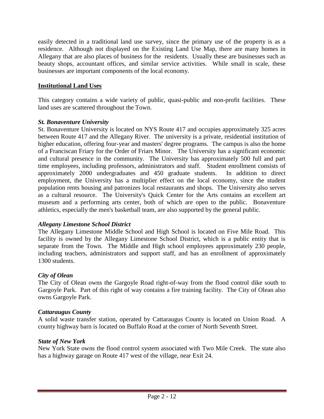easily detected in a traditional land use survey, since the primary use of the property is as a residence. Although not displayed on the Existing Land Use Map, there are many homes in Allegany that are also places of business for the residents. Usually these are businesses such as beauty shops, accountant offices, and similar service activities. While small in scale, these businesses are important components of the local economy.

#### **Institutional Land Uses**

This category contains a wide variety of public, quasi-public and non-profit facilities. These land uses are scattered throughout the Town.

#### *St. Bonaventure University*

St. Bonaventure University is located on NYS Route 417 and occupies approximately 325 acres between Route 417 and the Allegany River. The university is a private, residential institution of higher education, offering four-year and masters' degree programs. The campus is also the home of a Franciscan Friary for the Order of Friars Minor. The University has a significant economic and cultural presence in the community. The University has approximately 500 full and part time employees, including professors, administrators and staff. Student enrollment consists of approximately 2000 undergraduates and 450 graduate students. In addition to direct employment, the University has a multiplier effect on the local economy, since the student population rents housing and patronizes local restaurants and shops. The University also serves as a cultural resource. The University's Quick Center for the Arts contains an excellent art museum and a performing arts center, both of which are open to the public. Bonaventure athletics, especially the men's basketball team, are also supported by the general public.

#### *Allegany Limestone School District*

The Allegany Limestone Middle School and High School is located on Five Mile Road. This facility is owned by the Allegany Limestone School District, which is a public entity that is separate from the Town. The Middle and High school employees approximately 230 people, including teachers, administrators and support staff, and has an enrollment of approximately 1300 students.

#### *City of Olean*

The City of Olean owns the Gargoyle Road right-of-way from the flood control dike south to Gargoyle Park. Part of this right of way contains a fire training facility. The City of Olean also owns Gargoyle Park.

#### *Cattaraugus County*

A solid waste transfer station, operated by Cattaraugus County is located on Union Road. A county highway barn is located on Buffalo Road at the corner of North Seventh Street.

#### *State of New York*

New York State owns the flood control system associated with Two Mile Creek. The state also has a highway garage on Route 417 west of the village, near Exit 24.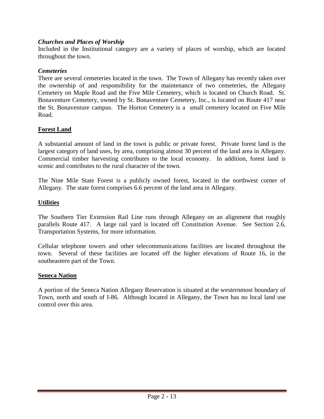#### *Churches and Places of Worship*

Included in the Institutional category are a variety of places of worship, which are located throughout the town.

#### *Cemeteries*

There are several cemeteries located in the town. The Town of Allegany has recently taken over the ownership of and responsibility for the maintenance of two cemeteries, the Allegany Cemetery on Maple Road and the Five Mile Cemetery, which is located on Church Road. St. Bonaventure Cemetery, owned by St. Bonaventure Cemetery, Inc., is located on Route 417 near the St. Bonaventure campus. The Horton Cemetery is a small cemetery located on Five Mile Road.

#### **Forest Land**

A substantial amount of land in the town is public or private forest. Private forest land is the largest category of land uses, by area, comprising almost 30 percent of the land area in Allegany. Commercial timber harvesting contributes to the local economy. In addition, forest land is scenic and contributes to the rural character of the town.

The Nine Mile State Forest is a publicly owned forest, located in the northwest corner of Allegany. The state forest comprises 6.6 percent of the land area in Allegany.

#### **Utilities**

The Southern Tier Extension Rail Line runs through Allegany on an alignment that roughly parallels Route 417. A large rail yard is located off Constitution Avenue. See Section 2.6, Transportation Systems, for more information.

Cellular telephone towers and other telecommunications facilities are located throughout the town. Several of these facilities are located off the higher elevations of Route 16, in the southeastern part of the Town.

#### **Seneca Nation**

A portion of the Seneca Nation Allegany Reservation is situated at the westernmost boundary of Town, north and south of I-86. Although located in Allegany, the Town has no local land use control over this area.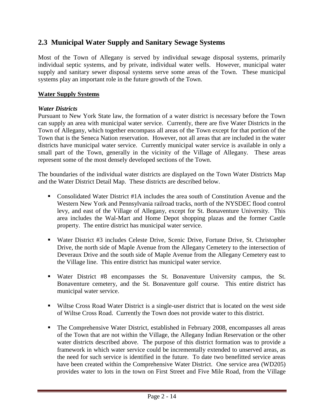#### **2.3 Municipal Water Supply and Sanitary Sewage Systems**

Most of the Town of Allegany is served by individual sewage disposal systems, primarily individual septic systems, and by private, individual water wells. However, municipal water supply and sanitary sewer disposal systems serve some areas of the Town. These municipal systems play an important role in the future growth of the Town.

#### **Water Supply Systems**

#### *Water Districts*

Pursuant to New York State law, the formation of a water district is necessary before the Town can supply an area with municipal water service. Currently, there are five Water Districts in the Town of Allegany, which together encompass all areas of the Town except for that portion of the Town that is the Seneca Nation reservation. However, not all areas that are included in the water districts have municipal water service. Currently municipal water service is available in only a small part of the Town, generally in the vicinity of the Village of Allegany. These areas represent some of the most densely developed sections of the Town.

The boundaries of the individual water districts are displayed on the Town Water Districts Map and the Water District Detail Map. These districts are described below.

- Consolidated Water District #1A includes the area south of Constitution Avenue and the Western New York and Pennsylvania railroad tracks, north of the NYSDEC flood control levy, and east of the Village of Allegany, except for St. Bonaventure University. This area includes the Wal-Mart and Home Depot shopping plazas and the former Castle property. The entire district has municipal water service.
- Water District #3 includes Celeste Drive, Scenic Drive, Fortune Drive, St. Christopher Drive, the north side of Maple Avenue from the Allegany Cemetery to the intersection of Deveraux Drive and the south side of Maple Avenue from the Allegany Cemetery east to the Village line. This entire district has municipal water service.
- Water District #8 encompasses the St. Bonaventure University campus, the St. Bonaventure cemetery, and the St. Bonaventure golf course. This entire district has municipal water service.
- Wiltse Cross Road Water District is a single-user district that is located on the west side of Wiltse Cross Road. Currently the Town does not provide water to this district.
- The Comprehensive Water District, established in February 2008, encompasses all areas of the Town that are not within the Village, the Allegany Indian Reservation or the other water districts described above. The purpose of this district formation was to provide a framework in which water service could be incrementally extended to unserved areas, as the need for such service is identified in the future. To date two benefitted service areas have been created within the Comprehensive Water District. One service area (WD205) provides water to lots in the town on First Street and Five Mile Road, from the Village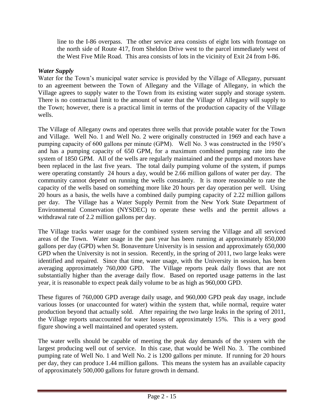line to the I-86 overpass. The other service area consists of eight lots with frontage on the north side of Route 417, from Sheldon Drive west to the parcel immediately west of the West Five Mile Road. This area consists of lots in the vicinity of Exit 24 from I-86.

#### *Water Supply*

Water for the Town's municipal water service is provided by the Village of Allegany, pursuant to an agreement between the Town of Allegany and the Village of Allegany, in which the Village agrees to supply water to the Town from its existing water supply and storage system. There is no contractual limit to the amount of water that the Village of Allegany will supply to the Town; however, there is a practical limit in terms of the production capacity of the Village wells.

The Village of Allegany owns and operates three wells that provide potable water for the Town and Village. Well No. 1 and Well No. 2 were originally constructed in 1969 and each have a pumping capacity of 600 gallons per minute (GPM). Well No. 3 was constructed in the 1950's and has a pumping capacity of 650 GPM, for a maximum combined pumping rate into the system of 1850 GPM. All of the wells are regularly maintained and the pumps and motors have been replaced in the last five years. The total daily pumping volume of the system, if pumps were operating constantly 24 hours a day, would be 2.66 million gallons of water per day. The community cannot depend on running the wells constantly. It is more reasonable to rate the capacity of the wells based on something more like 20 hours per day operation per well. Using 20 hours as a basis, the wells have a combined daily pumping capacity of 2.22 million gallons per day. The Village has a Water Supply Permit from the New York State Department of Environmental Conservation (NYSDEC) to operate these wells and the permit allows a withdrawal rate of 2.2 million gallons per day.

The Village tracks water usage for the combined system serving the Village and all serviced areas of the Town. Water usage in the past year has been running at approximately 850,000 gallons per day (GPD) when St. Bonaventure University is in session and approximately 650,000 GPD when the University is not in session. Recently, in the spring of 2011, two large leaks were identified and repaired. Since that time, water usage, with the University in session, has been averaging approximately 760,000 GPD. The Village reports peak daily flows that are not substantially higher than the average daily flow. Based on reported usage patterns in the last year, it is reasonable to expect peak daily volume to be as high as 960,000 GPD.

These figures of 760,000 GPD average daily usage, and 960,000 GPD peak day usage, include various losses (or unaccounted for water) within the system that, while normal, require water production beyond that actually sold. After repairing the two large leaks in the spring of 2011, the Village reports unaccounted for water losses of approximately 15%. This is a very good figure showing a well maintained and operated system.

The water wells should be capable of meeting the peak day demands of the system with the largest producing well out of service. In this case, that would be Well No. 3. The combined pumping rate of Well No. 1 and Well No. 2 is 1200 gallons per minute. If running for 20 hours per day, they can produce 1.44 million gallons. This means the system has an available capacity of approximately 500,000 gallons for future growth in demand.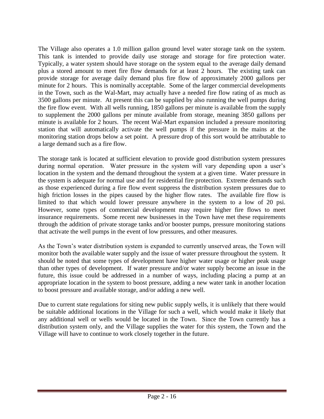The Village also operates a 1.0 million gallon ground level water storage tank on the system. This tank is intended to provide daily use storage and storage for fire protection water. Typically, a water system should have storage on the system equal to the average daily demand plus a stored amount to meet fire flow demands for at least 2 hours. The existing tank can provide storage for average daily demand plus fire flow of approximately 2000 gallons per minute for 2 hours. This is nominally acceptable. Some of the larger commercial developments in the Town, such as the Wal-Mart, may actually have a needed fire flow rating of as much as 3500 gallons per minute. At present this can be supplied by also running the well pumps during the fire flow event. With all wells running, 1850 gallons per minute is available from the supply to supplement the 2000 gallons per minute available from storage, meaning 3850 gallons per minute is available for 2 hours. The recent Wal-Mart expansion included a pressure monitoring station that will automatically activate the well pumps if the pressure in the mains at the monitoring station drops below a set point. A pressure drop of this sort would be attributable to a large demand such as a fire flow.

The storage tank is located at sufficient elevation to provide good distribution system pressures during normal operation. Water pressure in the system will vary depending upon a user's location in the system and the demand throughout the system at a given time. Water pressure in the system is adequate for normal use and for residential fire protection. Extreme demands such as those experienced during a fire flow event suppress the distribution system pressures due to high friction losses in the pipes caused by the higher flow rates. The available fire flow is limited to that which would lower pressure anywhere in the system to a low of 20 psi. However, some types of commercial development may require higher fire flows to meet insurance requirements. Some recent new businesses in the Town have met these requirements through the addition of private storage tanks and/or booster pumps, pressure monitoring stations that activate the well pumps in the event of low pressures, and other measures.

As the Town's water distribution system is expanded to currently unserved areas, the Town will monitor both the available water supply and the issue of water pressure throughout the system. It should be noted that some types of development have higher water usage or higher peak usage than other types of development. If water pressure and/or water supply become an issue in the future, this issue could be addressed in a number of ways, including placing a pump at an appropriate location in the system to boost pressure, adding a new water tank in another location to boost pressure and available storage, and/or adding a new well.

Due to current state regulations for siting new public supply wells, it is unlikely that there would be suitable additional locations in the Village for such a well, which would make it likely that any additional well or wells would be located in the Town. Since the Town currently has a distribution system only, and the Village supplies the water for this system, the Town and the Village will have to continue to work closely together in the future.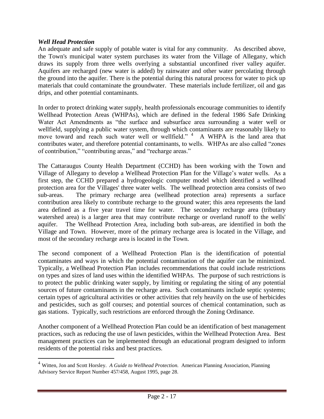#### *Well Head Protection*

 $\overline{a}$ 

An adequate and safe supply of potable water is vital for any community. As described above, the Town's municipal water system purchases its water from the Village of Allegany, which draws its supply from three wells overlying a substantial unconfined river valley aquifer. Aquifers are recharged (new water is added) by rainwater and other water percolating through the ground into the aquifer. There is the potential during this natural process for water to pick up materials that could contaminate the groundwater. These materials include fertilizer, oil and gas drips, and other potential contaminants.

In order to protect drinking water supply, health professionals encourage communities to identify Wellhead Protection Areas (WHPAs), which are defined in the federal 1986 Safe Drinking Water Act Amendments as "the surface and subsurface area surrounding a water well or wellfield, supplying a public water system, through which contaminants are reasonably likely to move toward and reach such water well or wellfield." <sup>4</sup> A WHPA is the land area that contributes water, and therefore potential contaminants, to wells. WHPAs are also called "zones of contribution," "contributing areas," and "recharge areas."

The Cattaraugus County Health Department (CCHD) has been working with the Town and Village of Allegany to develop a Wellhead Protection Plan for the Village's water wells. As a first step, the CCHD prepared a hydrogeologic computer model which identified a wellhead protection area for the Villages' three water wells. The wellhead protection area consists of two sub-areas. The primary recharge area (wellhead protection area) represents a surface contribution area likely to contribute recharge to the ground water; this area represents the land area defined as a five year travel time for water. The secondary recharge area (tributary watershed area) is a larger area that may contribute recharge or overland runoff to the wells' aquifer. The Wellhead Protection Area, including both sub-areas, are identified in both the Village and Town. However, more of the primary recharge area is located in the Village, and most of the secondary recharge area is located in the Town.

The second component of a Wellhead Protection Plan is the identification of potential contaminates and ways in which the potential contamination of the aquifer can be minimized. Typically, a Wellhead Protection Plan includes recommendations that could include restrictions on types and sizes of land uses within the identified WHPAs. The purpose of such restrictions is to protect the public drinking water supply, by limiting or regulating the siting of any potential sources of future contaminants in the recharge area. Such contaminants include septic systems; certain types of agricultural activities or other activities that rely heavily on the use of herbicides and pesticides, such as golf courses; and potential sources of chemical contamination, such as gas stations. Typically, such restrictions are enforced through the Zoning Ordinance.

Another component of a Wellhead Protection Plan could be an identification of best management practices, such as reducing the use of lawn pesticides, within the Wellhead Protection Area. Best management practices can be implemented through an educational program designed to inform residents of the potential risks and best practices.

<sup>4</sup> Witten, Jon and Scott Horsley. *A Guide to Wellhead Protection.* American Planning Association, Planning Advisory Service Report Number 457/458, August 1995, page 28.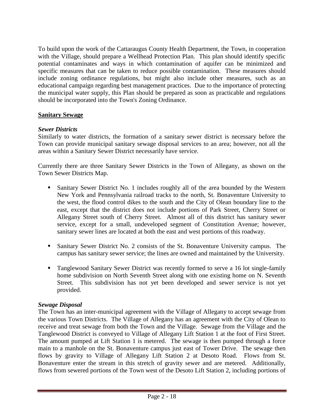To build upon the work of the Cattaraugus County Health Department, the Town, in cooperation with the Village, should prepare a Wellhead Protection Plan. This plan should identify specific potential contaminates and ways in which contamination of aquifer can be minimized and specific measures that can be taken to reduce possible contamination. These measures should include zoning ordinance regulations, but might also include other measures, such as an educational campaign regarding best management practices. Due to the importance of protecting the municipal water supply, this Plan should be prepared as soon as practicable and regulations should be incorporated into the Town's Zoning Ordinance.

#### **Sanitary Sewage**

#### *Sewer Districts*

Similarly to water districts, the formation of a sanitary sewer district is necessary before the Town can provide municipal sanitary sewage disposal services to an area; however, not all the areas within a Sanitary Sewer District necessarily have service.

Currently there are three Sanitary Sewer Districts in the Town of Allegany, as shown on the Town Sewer Districts Map.

- Sanitary Sewer District No. 1 includes roughly all of the area bounded by the Western New York and Pennsylvania railroad tracks to the north, St. Bonaventure University to the west, the flood control dikes to the south and the City of Olean boundary line to the east, except that the district does not include portions of Park Street, Cherry Street or Allegany Street south of Cherry Street. Almost all of this district has sanitary sewer service, except for a small, undeveloped segment of Constitution Avenue; however, sanitary sewer lines are located at both the east and west portions of this roadway.
- Sanitary Sewer District No. 2 consists of the St. Bonaventure University campus. The campus has sanitary sewer service; the lines are owned and maintained by the University.
- Tanglewood Sanitary Sewer District was recently formed to serve a 16 lot single-family home subdivision on North Seventh Street along with one existing home on N. Seventh Street. This subdivision has not yet been developed and sewer service is not yet provided.

#### *Sewage Disposal*

The Town has an inter-municipal agreement with the Village of Allegany to accept sewage from the various Town Districts. The Village of Allegany has an agreement with the City of Olean to receive and treat sewage from both the Town and the Village. Sewage from the Village and the Tanglewood District is conveyed to Village of Allegany Lift Station 1 at the foot of First Street. The amount pumped at Lift Station 1 is metered. The sewage is then pumped through a force main to a manhole on the St. Bonaventure campus just east of Tower Drive. The sewage then flows by gravity to Village of Allegany Lift Station 2 at Desoto Road. Flows from St. Bonaventure enter the stream in this stretch of gravity sewer and are metered. Additionally, flows from sewered portions of the Town west of the Desoto Lift Station 2, including portions of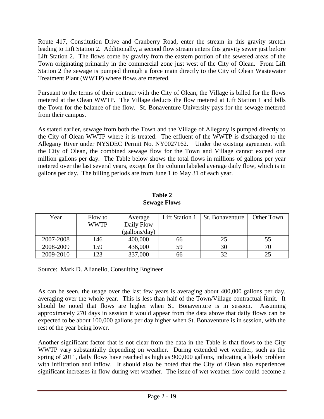Route 417, Constitution Drive and Cranberry Road, enter the stream in this gravity stretch leading to Lift Station 2. Additionally, a second flow stream enters this gravity sewer just before Lift Station 2. The flows come by gravity from the eastern portion of the sewered areas of the Town originating primarily in the commercial zone just west of the City of Olean. From Lift Station 2 the sewage is pumped through a force main directly to the City of Olean Wastewater Treatment Plant (WWTP) where flows are metered.

Pursuant to the terms of their contract with the City of Olean, the Village is billed for the flows metered at the Olean WWTP. The Village deducts the flow metered at Lift Station 1 and bills the Town for the balance of the flow. St. Bonaventure University pays for the sewage metered from their campus.

As stated earlier, sewage from both the Town and the Village of Allegany is pumped directly to the City of Olean WWTP where it is treated. The effluent of the WWTP is discharged to the Allegany River under NYSDEC Permit No. NY0027162. Under the existing agreement with the City of Olean, the combined sewage flow for the Town and Village cannot exceed one million gallons per day. The Table below shows the total flows in millions of gallons per year metered over the last several years, except for the column labeled average daily flow, which is in gallons per day. The billing periods are from June 1 to May 31 of each year.

| Year      | Flow to<br><b>WWTP</b> | Average<br>Daily Flow | <b>Lift Station 1</b> | <b>St. Bonaventure</b> | Other Town |
|-----------|------------------------|-----------------------|-----------------------|------------------------|------------|
|           |                        | (gallons/day)         |                       |                        |            |
| 2007-2008 | 146                    | 400,000               | 66                    |                        | 55         |
| 2008-2009 | 159                    | 436,000               | 59                    | 30                     |            |
| 2009-2010 | 123                    | 337,000               | 66                    | 32                     | 25         |

**Table 2 Sewage Flows**

Source: Mark D. Alianello, Consulting Engineer

As can be seen, the usage over the last few years is averaging about 400,000 gallons per day, averaging over the whole year. This is less than half of the Town/Village contractual limit. It should be noted that flows are higher when St. Bonaventure is in session. Assuming approximately 270 days in session it would appear from the data above that daily flows can be expected to be about 100,000 gallons per day higher when St. Bonaventure is in session, with the rest of the year being lower.

Another significant factor that is not clear from the data in the Table is that flows to the City WWTP vary substantially depending on weather. During extended wet weather, such as the spring of 2011, daily flows have reached as high as 900,000 gallons, indicating a likely problem with infiltration and inflow. It should also be noted that the City of Olean also experiences significant increases in flow during wet weather. The issue of wet weather flow could become a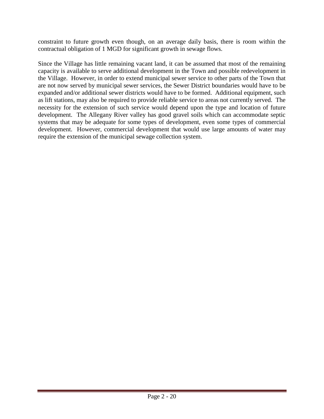constraint to future growth even though, on an average daily basis, there is room within the contractual obligation of 1 MGD for significant growth in sewage flows.

Since the Village has little remaining vacant land, it can be assumed that most of the remaining capacity is available to serve additional development in the Town and possible redevelopment in the Village. However, in order to extend municipal sewer service to other parts of the Town that are not now served by municipal sewer services, the Sewer District boundaries would have to be expanded and/or additional sewer districts would have to be formed. Additional equipment, such as lift stations, may also be required to provide reliable service to areas not currently served. The necessity for the extension of such service would depend upon the type and location of future development. The Allegany River valley has good gravel soils which can accommodate septic systems that may be adequate for some types of development, even some types of commercial development. However, commercial development that would use large amounts of water may require the extension of the municipal sewage collection system.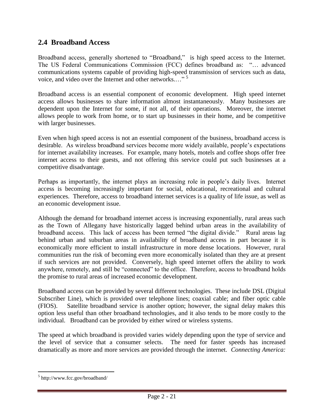#### **2.4 Broadband Access**

Broadband access, generally shortened to "Broadband," is high speed access to the Internet. The US Federal Communications Commission (FCC) defines broadband as: "… advanced communications systems capable of providing high-speed transmission of services such as data, voice, and video over the Internet and other networks...."<sup>5</sup>

Broadband access is an essential component of economic development. High speed internet access allows businesses to share information almost instantaneously. Many businesses are dependent upon the Internet for some, if not all, of their operations. Moreover, the internet allows people to work from home, or to start up businesses in their home, and be competitive with larger businesses.

Even when high speed access is not an essential component of the business, broadband access is desirable. As wireless broadband services become more widely available, people's expectations for internet availability increases. For example, many hotels, motels and coffee shops offer free internet access to their guests, and not offering this service could put such businesses at a competitive disadvantage.

Perhaps as importantly, the internet plays an increasing role in people's daily lives. Internet access is becoming increasingly important for social, educational, recreational and cultural experiences. Therefore, access to broadband internet services is a quality of life issue, as well as an economic development issue.

Although the demand for broadband internet access is increasing exponentially, rural areas such as the Town of Allegany have historically lagged behind urban areas in the availability of broadband access. This lack of access has been termed "the digital divide." Rural areas lag behind urban and suburban areas in availability of broadband access in part because it is economically more efficient to install infrastructure in more dense locations. However, rural communities run the risk of becoming even more economically isolated than they are at present if such services are not provided. Conversely, high speed internet offers the ability to work anywhere, remotely, and still be "connected" to the office. Therefore, access to broadband holds the promise to rural areas of increased economic development.

Broadband access can be provided by several different technologies. These include DSL (Digital Subscriber Line), which is provided over telephone lines; coaxial cable; and fiber optic cable (FIOS). Satellite broadband service is another option; however, the signal delay makes this option less useful than other broadband technologies, and it also tends to be more costly to the individual. Broadband can be provided by either wired or wireless systems.

The speed at which broadband is provided varies widely depending upon the type of service and the level of service that a consumer selects. The need for faster speeds has increased dramatically as more and more services are provided through the internet. *Connecting America:* 

 $\overline{a}$ 

<sup>5</sup> <http://www.fcc.gov/broadband/>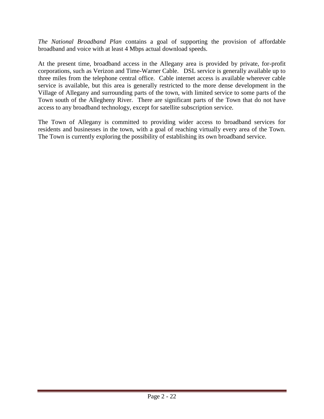*The National Broadband Plan* contains a goal of supporting the provision of affordable broadband and voice with at least 4 Mbps actual download speeds.

At the present time, broadband access in the Allegany area is provided by private, for-profit corporations, such as Verizon and Time-Warner Cable. DSL service is generally available up to three miles from the telephone central office. Cable internet access is available wherever cable service is available, but this area is generally restricted to the more dense development in the Village of Allegany and surrounding parts of the town, with limited service to some parts of the Town south of the Allegheny River. There are significant parts of the Town that do not have access to any broadband technology, except for satellite subscription service.

The Town of Allegany is committed to providing wider access to broadband services for residents and businesses in the town, with a goal of reaching virtually every area of the Town. The Town is currently exploring the possibility of establishing its own broadband service.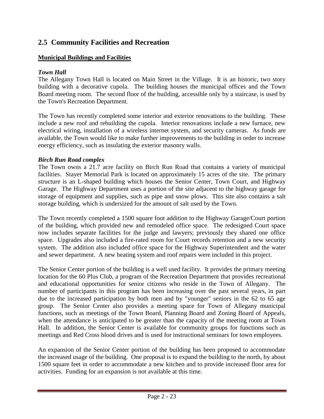# **2.5 Community Facilities and Recreation**

## **Municipal Buildings and Facilities**

## *Town Hall*

The Allegany Town Hall is located on Main Street in the Village. It is an historic, two story building with a decorative cupola. The building houses the municipal offices and the Town Board meeting room. The second floor of the building, accessible only by a staircase, is used by the Town's Recreation Department.

The Town has recently completed some interior and exterior renovations to the building. These include a new roof and rebuilding the cupola. Interior renovations include a new furnace, new electrical wiring, installation of a wireless internet system, and security cameras. As funds are available, the Town would like to make further improvements to the building in order to increase energy efficiency, such as insulating the exterior masonry walls.

### *Birch Run Road complex*

The Town owns a 21.7 acre facility on Birch Run Road that contains a variety of municipal facilities. Stayer Memorial Park is located on approximately 15 acres of the site. The primary structure is an L-shaped building which houses the Senior Center, Town Court, and Highway Garage. The Highway Department uses a portion of the site adjacent to the highway garage for storage of equipment and supplies, such as pipe and snow plows. This site also contains a salt storage building, which is undersized for the amount of salt used by the Town.

The Town recently completed a 1500 square foot addition to the Highway Garage/Court portion of the building, which provided new and remodeled office space. The redesigned Court space now includes separate facilities for the judge and lawyers; previously they shared one office space. Upgrades also included a fire-rated room for Court records retention and a new security system. The addition also included office space for the Highway Superintendent and the water and sewer department. A new heating system and roof repairs were included in this project.

The Senior Center portion of the building is a well used facility. It provides the primary meeting location for the 60 Plus Club, a program of the Recreation Department that provides recreational and educational opportunities for senior citizens who reside in the Town of Allegany. The number of participants in this program has been increasing over the past several years, in part due to the increased participation by both men and by "younger" seniors in the 62 to 65 age group. The Senior Center also provides a meeting space for Town of Allegany municipal functions, such as meetings of the Town Board, Planning Board and Zoning Board of Appeals, when the attendance is anticipated to be greater than the capacity of the meeting room at Town Hall. In addition, the Senior Center is available for community groups for functions such as meetings and Red Cross blood drives and is used for instructional seminars for town employees.

An expansion of the Senior Center portion of the building has been proposed to accommodate the increased usage of the building. One proposal is to expand the building to the north, by about 1500 square feet in order to accommodate a new kitchen and to provide increased floor area for activities. Funding for an expansion is not available at this time.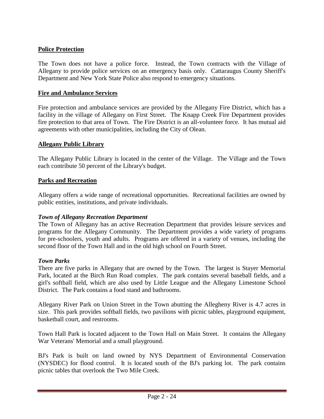## **Police Protection**

The Town does not have a police force. Instead, the Town contracts with the Village of Allegany to provide police services on an emergency basis only. Cattaraugus County Sheriff's Department and New York State Police also respond to emergency situations.

#### **Fire and Ambulance Services**

Fire protection and ambulance services are provided by the Allegany Fire District, which has a facility in the village of Allegany on First Street. The Knapp Creek Fire Department provides fire protection to that area of Town. The Fire District is an all-volunteer force. It has mutual aid agreements with other municipalities, including the City of Olean.

#### **Allegany Public Library**

The Allegany Public Library is located in the center of the Village. The Village and the Town each contribute 50 percent of the Library's budget.

#### **Parks and Recreation**

Allegany offers a wide range of recreational opportunities. Recreational facilities are owned by public entities, institutions, and private individuals.

### *Town of Allegany Recreation Department*

The Town of Allegany has an active Recreation Department that provides leisure services and programs for the Allegany Community. The Department provides a wide variety of programs for pre-schoolers, youth and adults. Programs are offered in a variety of venues, including the second floor of the Town Hall and in the old high school on Fourth Street.

#### *Town Parks*

There are five parks in Allegany that are owned by the Town. The largest is Stayer Memorial Park, located at the Birch Run Road complex. The park contains several baseball fields, and a girl's softball field, which are also used by Little League and the Allegany Limestone School District. The Park contains a food stand and bathrooms.

Allegany River Park on Union Street in the Town abutting the Allegheny River is 4.7 acres in size. This park provides softball fields, two pavilions with picnic tables, playground equipment, basketball court, and restrooms.

Town Hall Park is located adjacent to the Town Hall on Main Street. It contains the Allegany War Veterans' Memorial and a small playground.

BJ's Park is built on land owned by NYS Department of Environmental Conservation (NYSDEC) for flood control. It is located south of the BJ's parking lot. The park contains picnic tables that overlook the Two Mile Creek.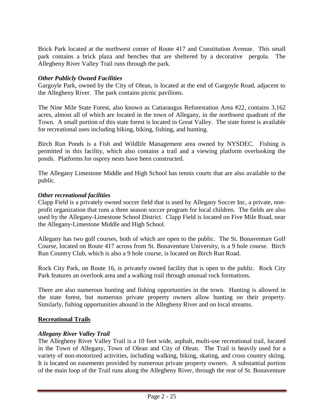Brick Park located at the northwest corner of Route 417 and Constitution Avenue. This small park contains a brick plaza and benches that are sheltered by a decorative pergola. The Allegheny River Valley Trail runs through the park.

### *Other Publicly Owned Facilities*

Gargoyle Park, owned by the City of Olean, is located at the end of Gargoyle Road, adjacent to the Allegheny River. The park contains picnic pavilions.

The Nine Mile State Forest, also known as Cattaraugus Reforestation Area #22, contains 3,162 acres, almost all of which are located in the town of Allegany, in the northwest quadrant of the Town. A small portion of this state forest is located in Great Valley. The state forest is available for recreational uses including hiking, biking, fishing, and hunting.

Birch Run Ponds is a Fish and Wildlife Management area owned by NYSDEC. Fishing is permitted in this facility, which also contains a trail and a viewing platform overlooking the ponds. Platforms for osprey nests have been constructed.

The Allegany Limestone Middle and High School has tennis courts that are also available to the public.

#### *Other recreational facilities*

Clapp Field is a privately owned soccer field that is used by Allegany Soccer Inc, a private, nonprofit organization that runs a three season soccer program for local children. The fields are also used by the Allegany-Limestone School District. Clapp Field is located on Five Mile Road, near the Allegany-Limestone Middle and High School.

Allegany has two golf courses, both of which are open to the public. The St. Bonaventure Golf Course, located on Route 417 across from St. Bonaventure University, is a 9 hole course. Birch Run Country Club, which is also a 9 hole course, is located on Birch Run Road.

Rock City Park, on Route 16, is privately owned facility that is open to the public. Rock City Park features an overlook area and a walking trail through unusual rock formations.

There are also numerous hunting and fishing opportunities in the town. Hunting is allowed in the state forest, but numerous private property owners allow hunting on their property. Similarly, fishing opportunities abound in the Allegheny River and on local streams.

#### **Recreational Trails**

### *Allegany River Valley Trail*

The Allegheny River Valley Trail is a 10 foot wide, asphalt, multi-use recreational trail, located in the Town of Allegany, Town of Olean and City of Olean. The Trail is heavily used for a variety of non-motorized activities, including walking, biking, skating, and cross country skiing. It is located on easements provided by numerous private property owners. A substantial portion of the main loop of the Trail runs along the Allegheny River, through the rear of St. Bonaventure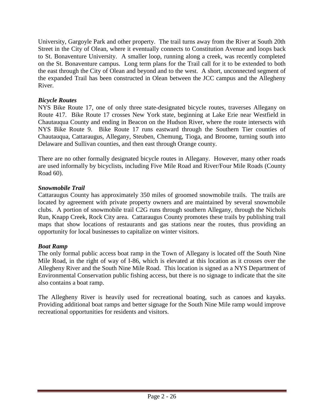University, Gargoyle Park and other property. The trail turns away from the River at South 20th Street in the City of Olean, where it eventually connects to Constitution Avenue and loops back to St. Bonaventure University. A smaller loop, running along a creek, was recently completed on the St. Bonaventure campus. Long term plans for the Trail call for it to be extended to both the east through the City of Olean and beyond and to the west. A short, unconnected segment of the expanded Trail has been constructed in Olean between the JCC campus and the Allegheny River.

## *Bicycle Routes*

NYS Bike Route 17, one of only three state-designated bicycle routes, traverses Allegany on Route 417. Bike Route 17 crosses New York state, beginning at Lake Erie near Westfield in Chautauqua County and ending in Beacon on the Hudson River, where the route intersects with NYS Bike Route 9. Bike Route 17 runs eastward through the Southern Tier counties of Chautauqua, Cattaraugus, Allegany, Steuben, Chemung, Tioga, and Broome, turning south into Delaware and Sullivan counties, and then east through Orange county.

There are no other formally designated bicycle routes in Allegany. However, many other roads are used informally by bicyclists, including Five Mile Road and River/Four Mile Roads (County Road 60).

## *Snowmobile Trail*

Cattaraugus County has approximately 350 miles of groomed snowmobile trails. The trails are located by agreement with private property owners and are maintained by several snowmobile clubs. A portion of snowmobile trail C2G runs through southern Allegany, through the Nichols Run, Knapp Creek, Rock City area. Cattaraugus County promotes these trails by publishing trail maps that show locations of restaurants and gas stations near the routes, thus providing an opportunity for local businesses to capitalize on winter visitors.

### *Boat Ramp*

The only formal public access boat ramp in the Town of Allegany is located off the South Nine Mile Road, in the right of way of I-86, which is elevated at this location as it crosses over the Allegheny River and the South Nine Mile Road. This location is signed as a NYS Department of Environmental Conservation public fishing access, but there is no signage to indicate that the site also contains a boat ramp.

The Allegheny River is heavily used for recreational boating, such as canoes and kayaks. Providing additional boat ramps and better signage for the South Nine Mile ramp would improve recreational opportunities for residents and visitors.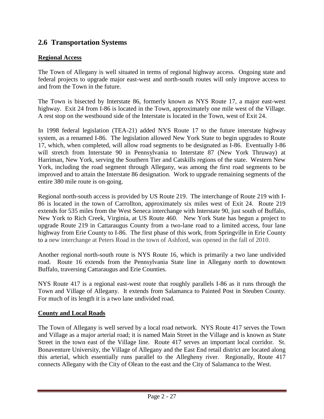# **2.6 Transportation Systems**

## **Regional Access**

The Town of Allegany is well situated in terms of regional highway access. Ongoing state and federal projects to upgrade major east-west and north-south routes will only improve access to and from the Town in the future.

The Town is bisected by Interstate 86, formerly known as NYS Route 17, a major east-west highway. Exit 24 from I-86 is located in the Town, approximately one mile west of the Village. A rest stop on the westbound side of the Interstate is located in the Town, west of Exit 24.

In 1998 federal legislation (TEA-21) added NYS Route 17 to the future interstate highway system, as a renamed I-86. The legislation allowed New York State to begin upgrades to Route 17, which, when completed, will allow road segments to be designated as I-86. Eventually I-86 will stretch from Interstate 90 in Pennsylvania to Interstate 87 (New York Thruway) at Harriman, New York, serving the Southern Tier and Catskills regions of the state. Western New York, including the road segment through Allegany, was among the first road segments to be improved and to attain the Interstate 86 designation. Work to upgrade remaining segments of the entire 380 mile route is on-going.

Regional north-south access is provided by US Route 219. The interchange of Route 219 with I-86 is located in the town of Carrollton, approximately six miles west of Exit 24. Route 219 extends for 535 miles from the West Seneca interchange with Interstate 90, just south of Buffalo, New York to Rich Creek, Virginia, at US Route 460. New York State has begun a project to upgrade Route 219 in Cattaraugus County from a two-lane road to a limited access, four lane highway from Erie County to I-86. The first phase of this work, from Springville in Erie County to a new interchange at Peters Road in the town of Ashford, was opened in the fall of 2010.

Another regional north-south route is NYS Route 16, which is primarily a two lane undivided road. Route 16 extends from the Pennsylvania State line in Allegany north to downtown Buffalo, traversing Cattaraugus and Erie Counties.

NYS Route 417 is a regional east-west route that roughly parallels I-86 as it runs through the Town and Village of Allegany. It extends from Salamanca to Painted Post in Steuben County. For much of its length it is a two lane undivided road.

### **County and Local Roads**

The Town of Allegany is well served by a local road network. NYS Route 417 serves the Town and Village as a major arterial road; it is named Main Street in the Village and is known as State Street in the town east of the Village line. Route 417 serves an important local corridor. St. Bonaventure University, the Village of Allegany and the East End retail district are located along this arterial, which essentially runs parallel to the Allegheny river. Regionally, Route 417 connects Allegany with the City of Olean to the east and the City of Salamanca to the West.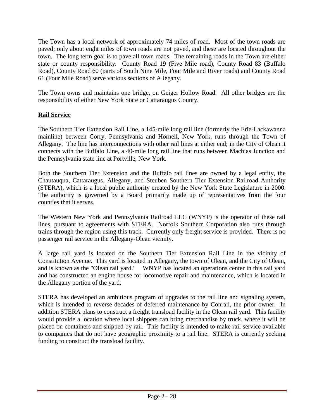The Town has a local network of approximately 74 miles of road. Most of the town roads are paved; only about eight miles of town roads are not paved, and these are located throughout the town. The long term goal is to pave all town roads. The remaining roads in the Town are either state or county responsibility. County Road 19 (Five Mile road), County Road 83 (Buffalo Road), County Road 60 (parts of South Nine Mile, Four Mile and River roads) and County Road 61 (Four Mile Road) serve various sections of Allegany.

The Town owns and maintains one bridge, on Geiger Hollow Road. All other bridges are the responsibility of either New York State or Cattaraugus County.

# **Rail Service**

The Southern Tier Extension Rail Line, a 145-mile long rail line (formerly the Erie-Lackawanna mainline) between Corry, Pennsylvania and Hornell, New York, runs through the Town of Allegany. The line has interconnections with other rail lines at either end; in the City of Olean it connects with the Buffalo Line, a 40-mile long rail line that runs between Machias Junction and the Pennsylvania state line at Portville, New York.

Both the Southern Tier Extension and the Buffalo rail lines are owned by a legal entity, the Chautauqua, Cattaraugus, Allegany, and Steuben Southern Tier Extension Railroad Authority (STERA), which is a local public authority created by the New York State Legislature in 2000. The authority is governed by a Board primarily made up of representatives from the four counties that it serves.

The Western New York and Pennsylvania Railroad LLC (WNYP) is the operator of these rail lines, pursuant to agreements with STERA. Norfolk Southern Corporation also runs through trains through the region using this track. Currently only freight service is provided. There is no passenger rail service in the Allegany-Olean vicinity.

A large rail yard is located on the Southern Tier Extension Rail Line in the vicinity of Constitution Avenue. This yard is located in Allegany, the town of Olean, and the City of Olean, and is known as the "Olean rail yard." WNYP has located an operations center in this rail yard and has constructed an engine house for locomotive repair and maintenance, which is located in the Allegany portion of the yard.

STERA has developed an ambitious program of upgrades to the rail line and signaling system, which is intended to reverse decades of deferred maintenance by Conrail, the prior owner. In addition STERA plans to construct a freight transload facility in the Olean rail yard. This facility would provide a location where local shippers can bring merchandise by truck, where it will be placed on containers and shipped by rail. This facility is intended to make rail service available to companies that do not have geographic proximity to a rail line. STERA is currently seeking funding to construct the transload facility.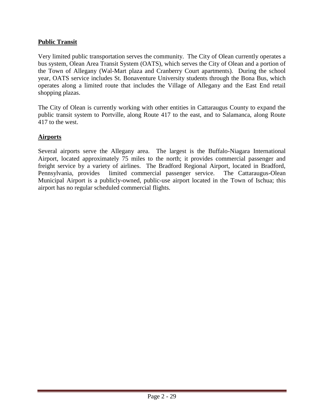## **Public Transit**

Very limited public transportation serves the community. The City of Olean currently operates a bus system, Olean Area Transit System (OATS), which serves the City of Olean and a portion of the Town of Allegany (Wal-Mart plaza and Cranberry Court apartments). During the school year, OATS service includes St. Bonaventure University students through the Bona Bus, which operates along a limited route that includes the Village of Allegany and the East End retail shopping plazas.

The City of Olean is currently working with other entities in Cattaraugus County to expand the public transit system to Portville, along Route 417 to the east, and to Salamanca, along Route 417 to the west.

## **Airports**

Several airports serve the Allegany area. The largest is the Buffalo-Niagara International Airport, located approximately 75 miles to the north; it provides commercial passenger and freight service by a variety of airlines. The Bradford Regional Airport, located in Bradford, Pennsylvania, provides limited commercial passenger service. The Cattaraugus-Olean Municipal Airport is a publicly-owned, public-use airport located in the Town of Ischua; this airport has no regular scheduled commercial flights.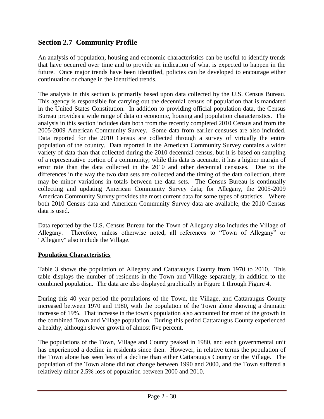# **Section 2.7 Community Profile**

An analysis of population, housing and economic characteristics can be useful to identify trends that have occurred over time and to provide an indication of what is expected to happen in the future. Once major trends have been identified, policies can be developed to encourage either continuation or change in the identified trends.

The analysis in this section is primarily based upon data collected by the U.S. Census Bureau. This agency is responsible for carrying out the decennial census of population that is mandated in the United States Constitution. In addition to providing official population data, the Census Bureau provides a wide range of data on economic, housing and population characteristics. The analysis in this section includes data both from the recently completed 2010 Census and from the 2005-2009 American Community Survey. Some data from earlier censuses are also included. Data reported for the 2010 Census are collected through a survey of virtually the entire population of the country. Data reported in the American Community Survey contains a wider variety of data than that collected during the 2010 decennial census, but it is based on sampling of a representative portion of a community; while this data is accurate, it has a higher margin of error rate than the data collected in the 2010 and other decennial censuses. Due to the differences in the way the two data sets are collected and the timing of the data collection, there may be minor variations in totals between the data sets. The Census Bureau is continually collecting and updating American Community Survey data; for Allegany, the 2005-2009 American Community Survey provides the most current data for some types of statistics. Where both 2010 Census data and American Community Survey data are available, the 2010 Census data is used.

Data reported by the U.S. Census Bureau for the Town of Allegany also includes the Village of Allegany. Therefore, unless otherwise noted, all references to "Town of Allegany" or "Allegany" also include the Village.

## **Population Characteristics**

Table 3 shows the population of Allegany and Cattaraugus County from 1970 to 2010. This table displays the number of residents in the Town and Village separately, in addition to the combined population. The data are also displayed graphically in Figure 1 through Figure 4.

During this 40 year period the populations of the Town, the Village, and Cattaraugus County increased between 1970 and 1980, with the population of the Town alone showing a dramatic increase of 19%. That increase in the town's population also accounted for most of the growth in the combined Town and Village population. During this period Cattaraugus County experienced a healthy, although slower growth of almost five percent.

The populations of the Town, Village and County peaked in 1980, and each governmental unit has experienced a decline in residents since then. However, in relative terms the population of the Town alone has seen less of a decline than either Cattaraugus County or the Village. The population of the Town alone did not change between 1990 and 2000, and the Town suffered a relatively minor 2.5% loss of population between 2000 and 2010.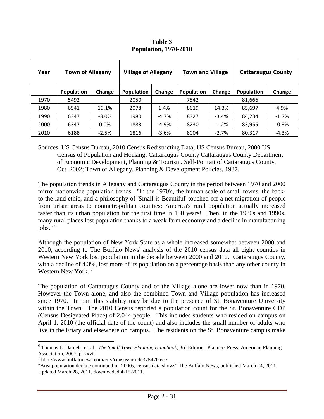| Year | <b>Town of Allegany</b> |          | <b>Village of Allegany</b> |         | <b>Town and Village</b> |         | <b>Cattaraugus County</b> |          |
|------|-------------------------|----------|----------------------------|---------|-------------------------|---------|---------------------------|----------|
|      | <b>Population</b>       | Change   | <b>Population</b>          | Change  | <b>Population</b>       | Change  | <b>Population</b>         | Change   |
| 1970 | 5492                    |          | 2050                       |         | 7542                    |         | 81,666                    |          |
| 1980 | 6541                    | 19.1%    | 2078                       | 1.4%    | 8619                    | 14.3%   | 85,697                    | 4.9%     |
| 1990 | 6347                    | $-3.0\%$ | 1980                       | -4.7%   | 8327                    | $-3.4%$ | 84,234                    | $-1.7\%$ |
| 2000 | 6347                    | 0.0%     | 1883                       | -4.9%   | 8230                    | $-1.2%$ | 83,955                    | $-0.3%$  |
| 2010 | 6188                    | $-2.5%$  | 1816                       | $-3.6%$ | 8004                    | $-2.7%$ | 80,317                    | $-4.3%$  |

**Table 3 Population, 1970-2010**

Sources: US Census Bureau, 2010 Census Redistricting Data; US Census Bureau, 2000 US Census of Population and Housing; Cattaraugus County Cattaraugus County Department of Economic Development, Planning & Tourism, Self-Portrait of Cattaraugus County, Oct. 2002; Town of Allegany, Planning & Development Policies, 1987.

The population trends in Allegany and Cattaraugus County in the period between 1970 and 2000 mirror nationwide population trends. "In the 1970's, the human scale of small towns, the backto-the-land ethic, and a philosophy of 'Small is Beautiful' touched off a net migration of people from urban areas to nonmetropolitan counties; America's rural population actually increased faster than its urban population for the first time in 150 years! Then, in the 1980s and 1990s, many rural places lost population thanks to a weak farm economy and a decline in manufacturing  $i$ obs."  $6$ 

Although the population of New York State as a whole increased somewhat between 2000 and 2010, according to The Buffalo News' analysis of the 2010 census data all eight counties in Western New York lost population in the decade between 2000 and 2010. Cattaraugus County, with a decline of 4.3%, lost more of its population on a percentage basis than any other county in Western New York.<sup>7</sup>

The population of Cattaraugus County and of the Village alone are lower now than in 1970. However the Town alone, and also the combined Town and Village population has increased since 1970. In part this stability may be due to the presence of St. Bonaventure University within the Town. The 2010 Census reported a population count for the St. Bonaventure CDP (Census Designated Place) of 2,044 people. This includes students who resided on campus on April 1, 2010 (the official date of the count) and also includes the small number of adults who live in the Friary and elsewhere on campus. The residents on the St. Bonaventure campus make

 $\overline{a}$ 

<sup>6</sup> Thomas L. Daniels, et. al. *The Small Town Planning Handbook*, 3rd Edition. Planners Press, American Planning Association, 2007, p. xxvi.

<sup>7</sup> http://www.buffalonews.com/city/census/article375470.ece

<sup>&</sup>quot;Area population decline continued in 2000s, census data shows" The Buffalo News, published March 24, 2011, Updated March 28, 2011, downloaded 4-15-2011.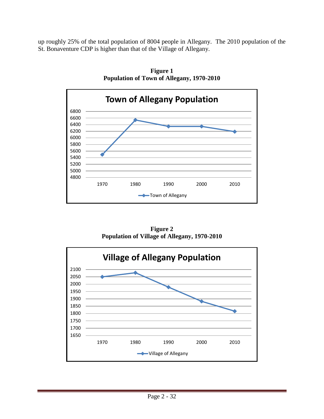up roughly 25% of the total population of 8004 people in Allegany. The 2010 population of the St. Bonaventure CDP is higher than that of the Village of Allegany.



**Figure 1 Population of Town of Allegany, 1970-2010**

**Figure 2 Population of Village of Allegany, 1970-2010**

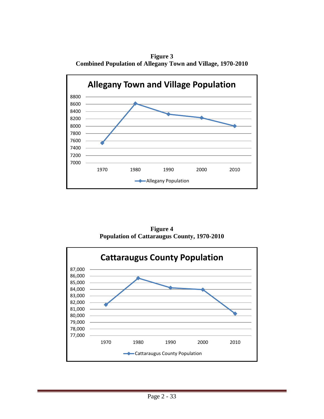**Figure 3 Combined Population of Allegany Town and Village, 1970-2010**



**Figure 4 Population of Cattaraugus County, 1970-2010**

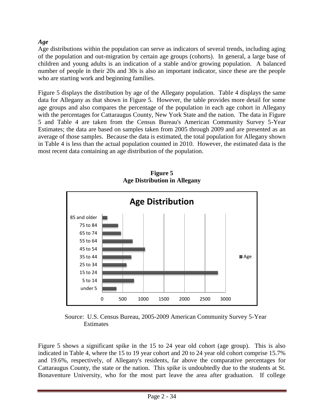## *Age*

Age distributions within the population can serve as indicators of several trends, including aging of the population and out-migration by certain age groups (cohorts). In general, a large base of children and young adults is an indication of a stable and/or growing population. A balanced number of people in their 20s and 30s is also an important indicator, since these are the people who are starting work and beginning families.

Figure 5 displays the distribution by age of the Allegany population. Table 4 displays the same data for Allegany as that shown in Figure 5. However, the table provides more detail for some age groups and also compares the percentage of the population in each age cohort in Allegany with the percentages for Cattaraugus County, New York State and the nation. The data in Figure 5 and Table 4 are taken from the Census Bureau's American Community Survey 5-Year Estimates; the data are based on samples taken from 2005 through 2009 and are presented as an average of those samples. Because the data is estimated, the total population for Allegany shown in Table 4 is less than the actual population counted in 2010. However, the estimated data is the most recent data containing an age distribution of the population.



**Figure 5 Age Distribution in Allegany**

Source: U.S. Census Bureau, 2005-2009 American Community Survey 5-Year **Estimates** 

Figure 5 shows a significant spike in the 15 to 24 year old cohort (age group). This is also indicated in Table 4, where the 15 to 19 year cohort and 20 to 24 year old cohort comprise 15.7% and 19.6%, respectively, of Allegany's residents, far above the comparative percentages for Cattaraugus County, the state or the nation. This spike is undoubtedly due to the students at St. Bonaventure University, who for the most part leave the area after graduation. If college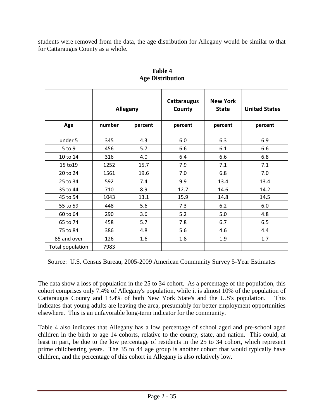students were removed from the data, the age distribution for Allegany would be similar to that for Cattaraugus County as a whole.

|                  | Allegany |         | <b>Cattaraugus</b><br>County | <b>New York</b><br><b>State</b> | <b>United States</b> |
|------------------|----------|---------|------------------------------|---------------------------------|----------------------|
| Age              | number   | percent | percent                      | percent                         | percent              |
|                  |          |         |                              |                                 |                      |
| under 5          | 345      | 4.3     | 6.0                          | 6.3                             | 6.9                  |
| $5$ to $9$       | 456      | 5.7     | 6.6                          | 6.1                             | 6.6                  |
| 10 to 14         | 316      | 4.0     | 6.4                          | 6.6                             | 6.8                  |
| 15 to 19         | 1252     | 15.7    | 7.9                          | 7.1                             | 7.1                  |
| 20 to 24         | 1561     | 19.6    | 7.0                          | 6.8                             | 7.0                  |
| 25 to 34         | 592      | 7.4     | 9.9                          | 13.4                            | 13.4                 |
| 35 to 44         | 710      | 8.9     | 12.7                         | 14.6                            | 14.2                 |
| 45 to 54         | 1043     | 13.1    | 15.9                         | 14.8                            | 14.5                 |
| 55 to 59         | 448      | 5.6     | 7.3                          | 6.2                             | 6.0                  |
| 60 to 64         | 290      | 3.6     | 5.2                          | 5.0                             | 4.8                  |
| 65 to 74         | 458      | 5.7     | 7.8                          | 6.7                             | 6.5                  |
| 75 to 84         | 386      | 4.8     | 5.6                          | 4.6                             | 4.4                  |
| 85 and over      | 126      | 1.6     | 1.8                          | 1.9                             | 1.7                  |
| Total population | 7983     |         |                              |                                 |                      |

**Table 4 Age Distribution** 

Source: U.S. Census Bureau, 2005-2009 American Community Survey 5-Year Estimates

The data show a loss of population in the 25 to 34 cohort. As a percentage of the population, this cohort comprises only 7.4% of Allegany's population, while it is almost 10% of the population of Cattaraugus County and 13.4% of both New York State's and the U.S's population. This indicates that young adults are leaving the area, presumably for better employment opportunities elsewhere. This is an unfavorable long-term indicator for the community.

Table 4 also indicates that Allegany has a low percentage of school aged and pre-school aged children in the birth to age 14 cohorts, relative to the county, state, and nation. This could, at least in part, be due to the low percentage of residents in the 25 to 34 cohort, which represent prime childbearing years. The 35 to 44 age group is another cohort that would typically have children, and the percentage of this cohort in Allegany is also relatively low.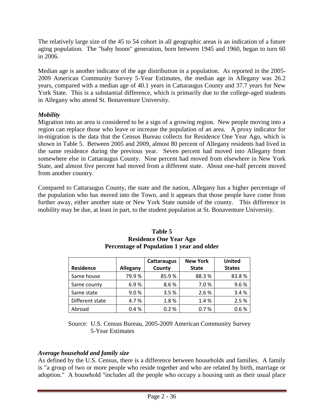The relatively large size of the 45 to 54 cohort in all geographic areas is an indication of a future aging population. The "baby boom" generation, born between 1945 and 1960, began to turn 60 in 2006.

Median age is another indicator of the age distribution in a population. As reported in the 2005- 2009 American Community Survey 5-Year Estimates, the median age in Allegany was 26.2 years, compared with a median age of 40.1 years in Cattaraugus County and 37.7 years for New York State. This is a substantial difference, which is primarily due to the college-aged students in Allegany who attend St. Bonaventure University.

## *Mobility*

Migration into an area is considered to be a sign of a growing region. New people moving into a region can replace those who leave or increase the population of an area. A proxy indicator for in-migration is the data that the Census Bureau collects for Residence One Year Ago, which is shown in Table 5. Between 2005 and 2009, almost 80 percent of Allegany residents had lived in the same residence during the previous year. Seven percent had moved into Allegany from somewhere else in Cattaraugus County. Nine percent had moved from elsewhere in New York State, and almost five percent had moved from a different state. About one-half percent moved from another country.

Compared to Cattaraugus County, the state and the nation, Allegany has a higher percentage of the population who has moved into the Town, and it appears that those people have come from further away, either another state or New York State outside of the county. This difference in mobility may be due, at least in part, to the student population at St. Bonaventure University.

|                  |          | Cattaraugus | <b>New York</b> | <b>United</b> |
|------------------|----------|-------------|-----------------|---------------|
| <b>Residence</b> | Allegany | County      | <b>State</b>    | <b>States</b> |
| Same house       | 79.9%    | 85.9%       | 88.3%           | 83.8%         |
| Same county      | 6.9%     | 8.6%        | 7.0%            | 9.6%          |
| Same state       | 9.0%     | 3.5%        | 2.6%            | 3.4%          |
| Different state  | 4.7%     | 1.8%        | 1.4%            | 2.5%          |
| Abroad           | 0.4%     | 0.2%        | 0.7%            | 0.6%          |

**Table 5 Residence One Year Ago Percentage of Population 1 year and older**

 Source: U.S. Census Bureau, 2005-2009 American Community Survey 5-Year Estimates

## *Average household and family size*

As defined by the U.S. Census, there is a difference between households and families. A family is "a group of two or more people who reside together and who are related by birth, marriage or adoption." A household "includes all the people who occupy a housing unit as their usual place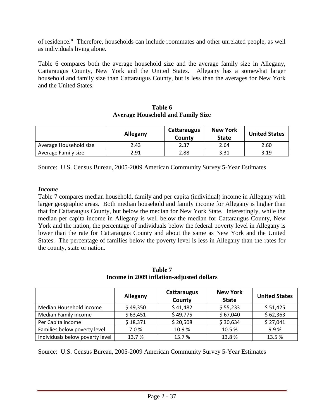of residence." Therefore, households can include roommates and other unrelated people, as well as individuals living alone.

Table 6 compares both the average household size and the average family size in Allegany, Cattaraugus County, New York and the United States. Allegany has a somewhat larger household and family size than Cattaraugus County, but is less than the averages for New York and the United States.

| Table 6                                  |  |  |  |  |  |
|------------------------------------------|--|--|--|--|--|
| <b>Average Household and Family Size</b> |  |  |  |  |  |

|                        | <b>Allegany</b> | <b>Cattaraugus</b><br>County | <b>New York</b><br><b>State</b> | <b>United States</b> |
|------------------------|-----------------|------------------------------|---------------------------------|----------------------|
| Average Household size | 2.43            | 2.37                         | 2.64                            | 2.60                 |
| Average Family size    | 2.91            | 2.88                         | 3.31                            | 3.19                 |

Source: U.S. Census Bureau, 2005-2009 American Community Survey 5-Year Estimates

### *Income*

Table 7 compares median household, family and per capita (individual) income in Allegany with larger geographic areas. Both median household and family income for Allegany is higher than that for Cattaraugus County, but below the median for New York State. Interestingly, while the median per capita income in Allegany is well below the median for Cattaraugus County, New York and the nation, the percentage of individuals below the federal poverty level in Allegany is lower than the rate for Cattaraugus County and about the same as New York and the United States. The percentage of families below the poverty level is less in Allegany than the rates for the county, state or nation.

| Income in 2009 miliation-adjusted donars |          |                       |                                 |                      |  |  |  |
|------------------------------------------|----------|-----------------------|---------------------------------|----------------------|--|--|--|
|                                          | Allegany | Cattaraugus<br>County | <b>New York</b><br><b>State</b> | <b>United States</b> |  |  |  |
| Median Household income                  | \$49,350 | \$41,482              | \$55,233                        | \$51,425             |  |  |  |
| Median Family income                     | \$63,451 | \$49,775              | \$67,040                        | \$62,363             |  |  |  |
| Per Capita income                        | \$18,371 | \$20,508              | \$30,634                        | \$27,041             |  |  |  |
| Families below poverty level             | 7.0%     | 10.9%                 | 10.5%                           | 9.9%                 |  |  |  |
| Individuals below poverty level          | 13.7%    | 15.7%                 | 13.8%                           | 13.5%                |  |  |  |

**Table 7 Income in 2009 inflation-adjusted dollars**

Source: U.S. Census Bureau, 2005-2009 American Community Survey 5-Year Estimates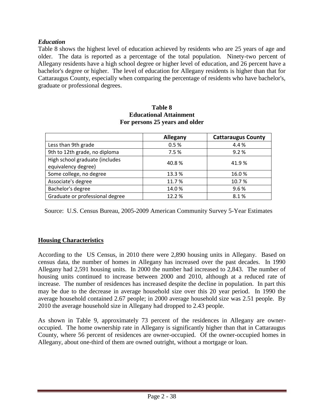## *Education*

Table 8 shows the highest level of education achieved by residents who are 25 years of age and older. The data is reported as a percentage of the total population. Ninety-two percent of Allegany residents have a high school degree or higher level of education, and 26 percent have a bachelor's degree or higher. The level of education for Allegany residents is higher than that for Cattaraugus County, especially when comparing the percentage of residents who have bachelor's, graduate or professional degrees.

|                                 | Allegany | <b>Cattaraugus County</b> |
|---------------------------------|----------|---------------------------|
| Less than 9th grade             | 0.5%     | 4.4%                      |
| 9th to 12th grade, no diploma   | 7.5%     | 9.2%                      |
| High school graduate (includes  | 40.8%    | 41.9%                     |
| equivalency degree)             |          |                           |
| Some college, no degree         | 13.3 %   | 16.0%                     |
| Associate's degree              | 11.7%    | 10.7%                     |
| Bachelor's degree               | 14.0%    | 9.6%                      |
| Graduate or professional degree | 12.2%    | 8.1%                      |

#### **Table 8 Educational Attainment For persons 25 years and older**

Source: U.S. Census Bureau, 2005-2009 American Community Survey 5-Year Estimates

### **Housing Characteristics**

According to the US Census, in 2010 there were 2,890 housing units in Allegany. Based on census data, the number of homes in Allegany has increased over the past decades. In 1990 Allegany had 2,591 housing units. In 2000 the number had increased to 2,843. The number of housing units continued to increase between 2000 and 2010, although at a reduced rate of increase. The number of residences has increased despite the decline in population. In part this may be due to the decrease in average household size over this 20 year period. In 1990 the average household contained 2.67 people; in 2000 average household size was 2.51 people. By 2010 the average household size in Allegany had dropped to 2.43 people.

As shown in Table 9, approximately 73 percent of the residences in Allegany are owneroccupied. The home ownership rate in Allegany is significantly higher than that in Cattaraugus County, where 56 percent of residences are owner-occupied. Of the owner-occupied homes in Allegany, about one-third of them are owned outright, without a mortgage or loan.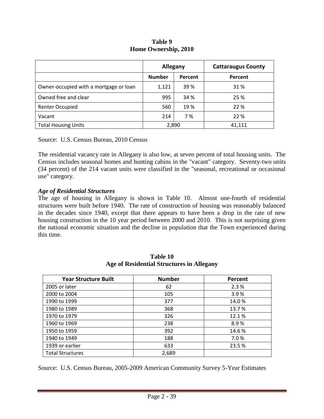| Table 9              |
|----------------------|
| Home Ownership, 2010 |

|                                        | Allegany      |         | <b>Cattaraugus County</b> |  |
|----------------------------------------|---------------|---------|---------------------------|--|
|                                        | <b>Number</b> | Percent | Percent                   |  |
| Owner-occupied with a mortgage or loan | 1,121         | 39 %    | 31 %                      |  |
| Owned free and clear                   | 995           | 34 %    | 25 %                      |  |
| <b>Renter Occupied</b>                 | 560           | 19 %    | 22 %                      |  |
| Vacant                                 | 214           | 7%      | 22 %                      |  |
| <b>Total Housing Units</b>             | 2,890         |         | 41.111                    |  |

Source: U.S. Census Bureau, 2010 Census

The residential vacancy rate in Allegany is also low, at seven percent of total housing units. The Census includes seasonal homes and hunting cabins in the "vacant" category. Seventy-two units (34 percent) of the 214 vacant units were classified in the "seasonal, recreational or occasional use" category.

#### *Age of Residential Structures*

The age of housing in Allegany is shown in Table 10. Almost one-fourth of residential structures were built before 1940. The rate of construction of housing was reasonably balanced in the decades since 1940, except that there appears to have been a drop in the rate of new housing construction in the 10 year period between 2000 and 2010. This is not surprising given the national economic situation and the decline in population that the Town experienced during this time.

| <b>Year Structure Built</b> | <b>Number</b> | Percent |
|-----------------------------|---------------|---------|
| 2005 or later               | 62            | 2.3%    |
| 2000 to 2004                | 105           | 3.9%    |
| 1990 to 1999                | 377           | 14.0%   |
| 1980 to 1989                | 368           | 13.7%   |
| 1970 to 1979                | 326           | 12.1%   |
| 1960 to 1969                | 238           | 8.9%    |
| 1950 to 1959                | 392           | 14.6%   |
| 1940 to 1949                | 188           | 7.0%    |
| 1939 or earlier             | 633           | 23.5 %  |
| <b>Total Structures</b>     | 2,689         |         |

#### **Table 10 Age of Residential Structures in Allegany**

Source: U.S. Census Bureau, 2005-2009 American Community Survey 5-Year Estimates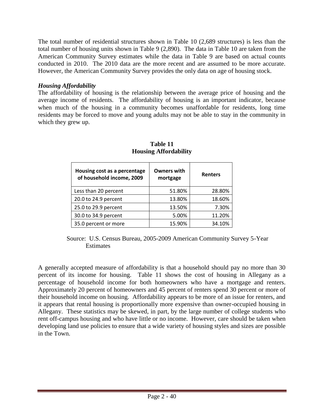The total number of residential structures shown in Table 10 (2,689 structures) is less than the total number of housing units shown in Table 9 (2,890). The data in Table 10 are taken from the American Community Survey estimates while the data in Table 9 are based on actual counts conducted in 2010. The 2010 data are the more recent and are assumed to be more accurate. However, the American Community Survey provides the only data on age of housing stock.

## *Housing Affordability*

The affordability of housing is the relationship between the average price of housing and the average income of residents. The affordability of housing is an important indicator, because when much of the housing in a community becomes unaffordable for residents, long time residents may be forced to move and young adults may not be able to stay in the community in which they grew up.

| Housing cost as a percentage<br>of household income, 2009 | <b>Owners with</b><br>mortgage | <b>Renters</b> |
|-----------------------------------------------------------|--------------------------------|----------------|
| Less than 20 percent                                      | 51.80%                         | 28.80%         |
| 20.0 to 24.9 percent                                      | 13.80%                         | 18.60%         |
| 25.0 to 29.9 percent                                      | 13.50%                         | 7.30%          |
| 30.0 to 34.9 percent                                      | 5.00%                          | 11.20%         |
| 35.0 percent or more                                      | 15.90%                         | 34.10%         |

**Table 11 Housing Affordability**

A generally accepted measure of affordability is that a household should pay no more than 30 percent of its income for housing. Table 11 shows the cost of housing in Allegany as a percentage of household income for both homeowners who have a mortgage and renters. Approximately 20 percent of homeowners and 45 percent of renters spend 30 percent or more of their household income on housing. Affordability appears to be more of an issue for renters, and it appears that rental housing is proportionally more expensive than owner-occupied housing in Allegany. These statistics may be skewed, in part, by the large number of college students who rent off-campus housing and who have little or no income. However, care should be taken when developing land use policies to ensure that a wide variety of housing styles and sizes are possible in the Town.

Source: U.S. Census Bureau, 2005-2009 American Community Survey 5-Year **Estimates**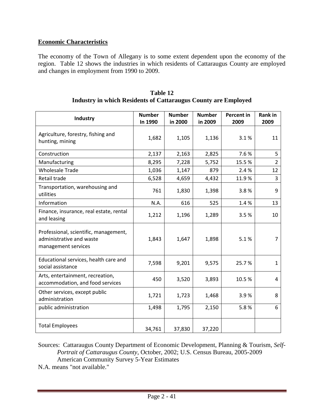## **Economic Characteristics**

The economy of the Town of Allegany is to some extent dependent upon the economy of the region. Table 12 shows the industries in which residents of Cattaraugus County are employed and changes in employment from 1990 to 2009.

| Industry                                                                                 | <b>Number</b><br>In 1990 | <b>Number</b><br>in 2000 | <b>Number</b><br>in 2009 | Percent in<br>2009 | <b>Rank in</b><br>2009 |
|------------------------------------------------------------------------------------------|--------------------------|--------------------------|--------------------------|--------------------|------------------------|
| Agriculture, forestry, fishing and<br>hunting, mining                                    | 1,682                    | 1,105                    | 1,136                    | 3.1%               | 11                     |
| Construction                                                                             | 2,137                    | 2,163                    | 2,825                    | 7.6%               | 5                      |
| Manufacturing                                                                            | 8,295                    | 7,228                    | 5,752                    | 15.5%              | $\overline{2}$         |
| <b>Wholesale Trade</b>                                                                   | 1,036                    | 1,147                    | 879                      | 2.4 %              | 12                     |
| Retail trade                                                                             | 6,528                    | 4,659                    | 4,432                    | 11.9%              | $\overline{3}$         |
| Transportation, warehousing and<br>utilities                                             | 761                      | 1,830                    | 1,398                    | 3.8%               | 9                      |
| Information                                                                              | N.A.                     | 616                      | 525                      | 1.4%               | 13                     |
| Finance, insurance, real estate, rental<br>and leasing                                   | 1,212                    | 1,196                    | 1,289                    | 3.5%               | 10                     |
| Professional, scientific, management,<br>administrative and waste<br>management services | 1,843                    | 1,647                    | 1,898                    | 5.1%               | 7                      |
| Educational services, health care and<br>social assistance                               | 7,598                    | 9,201                    | 9,575                    | 25.7%              | 1                      |
| Arts, entertainment, recreation,<br>accommodation, and food services                     | 450                      | 3,520                    | 3,893                    | 10.5%              | 4                      |
| Other services, except public<br>administration                                          | 1,721                    | 1,723                    | 1,468                    | 3.9%               | 8                      |
| public administration                                                                    | 1,498                    | 1,795                    | 2,150                    | 5.8%               | 6                      |
| <b>Total Employees</b>                                                                   | 34,761                   | 37,830                   | 37,220                   |                    |                        |

**Table 12 Industry in which Residents of Cattaraugus County are Employed** 

Sources: Cattaraugus County Department of Economic Development, Planning & Tourism, *Self-Portrait of Cattaraugus County*, October, 2002; U.S. Census Bureau, 2005-2009 American Community Survey 5-Year Estimates

N.A. means "not available."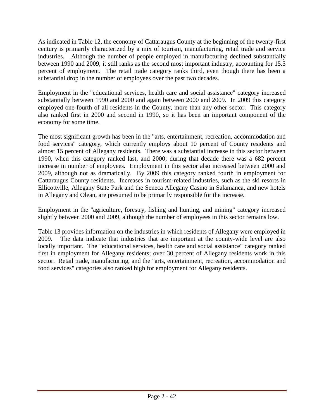As indicated in Table 12, the economy of Cattaraugus County at the beginning of the twenty-first century is primarily characterized by a mix of tourism, manufacturing, retail trade and service industries. Although the number of people employed in manufacturing declined substantially between 1990 and 2009, it still ranks as the second most important industry, accounting for 15.5 percent of employment. The retail trade category ranks third, even though there has been a substantial drop in the number of employees over the past two decades.

Employment in the "educational services, health care and social assistance" category increased substantially between 1990 and 2000 and again between 2000 and 2009. In 2009 this category employed one-fourth of all residents in the County, more than any other sector. This category also ranked first in 2000 and second in 1990, so it has been an important component of the economy for some time.

The most significant growth has been in the "arts, entertainment, recreation, accommodation and food services" category, which currently employs about 10 percent of County residents and almost 15 percent of Allegany residents. There was a substantial increase in this sector between 1990, when this category ranked last, and 2000; during that decade there was a 682 percent increase in number of employees. Employment in this sector also increased between 2000 and 2009, although not as dramatically. By 2009 this category ranked fourth in employment for Cattaraugus County residents. Increases in tourism-related industries, such as the ski resorts in Ellicottville, Allegany State Park and the Seneca Allegany Casino in Salamanca, and new hotels in Allegany and Olean, are presumed to be primarily responsible for the increase.

Employment in the "agriculture, forestry, fishing and hunting, and mining" category increased slightly between 2000 and 2009, although the number of employees in this sector remains low.

Table 13 provides information on the industries in which residents of Allegany were employed in 2009. The data indicate that industries that are important at the county-wide level are also locally important. The "educational services, health care and social assistance" category ranked first in employment for Allegany residents; over 30 percent of Allegany residents work in this sector. Retail trade, manufacturing, and the "arts, entertainment, recreation, accommodation and food services" categories also ranked high for employment for Allegany residents.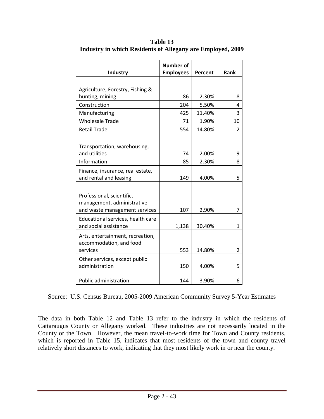| Industry                                                                                 | <b>Number of</b><br><b>Employees</b> | Percent | Rank           |
|------------------------------------------------------------------------------------------|--------------------------------------|---------|----------------|
|                                                                                          |                                      |         |                |
| Agriculture, Forestry, Fishing &<br>hunting, mining                                      | 86                                   | 2.30%   | 8              |
| Construction                                                                             | 204                                  | 5.50%   | 4              |
| Manufacturing                                                                            | 425                                  | 11.40%  | 3              |
| <b>Wholesale Trade</b>                                                                   | 71                                   | 1.90%   | 10             |
| <b>Retail Trade</b>                                                                      | 554                                  | 14.80%  | $\overline{2}$ |
|                                                                                          |                                      |         |                |
| Transportation, warehousing,                                                             |                                      |         |                |
| and utilities                                                                            | 74                                   | 2.00%   | 9              |
| Information                                                                              | 85                                   | 2.30%   | 8              |
| Finance, insurance, real estate,<br>and rental and leasing                               | 149                                  | 4.00%   | 5              |
|                                                                                          |                                      |         |                |
| Professional, scientific,<br>management, administrative<br>and waste management services | 107                                  | 2.90%   | 7              |
|                                                                                          |                                      |         |                |
| Educational services, health care<br>and social assistance                               | 1,138                                | 30.40%  | 1              |
| Arts, entertainment, recreation,<br>accommodation, and food<br>services                  | 553                                  | 14.80%  | $\overline{2}$ |
| Other services, except public<br>administration                                          | 150                                  | 4.00%   | 5              |
| <b>Public administration</b>                                                             | 144                                  | 3.90%   | 6              |

**Table 13 Industry in which Residents of Allegany are Employed, 2009**

Source: U.S. Census Bureau, 2005-2009 American Community Survey 5-Year Estimates

The data in both Table 12 and Table 13 refer to the industry in which the residents of Cattaraugus County or Allegany worked. These industries are not necessarily located in the County or the Town. However, the mean travel-to-work time for Town and County residents, which is reported in Table 15, indicates that most residents of the town and county travel relatively short distances to work, indicating that they most likely work in or near the county.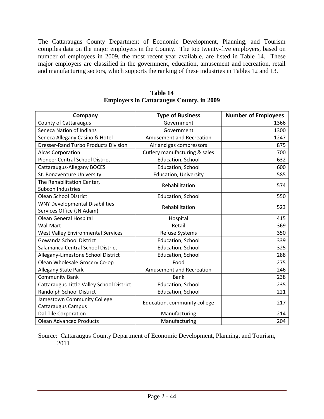The Cattaraugus County Department of Economic Development, Planning, and Tourism compiles data on the major employers in the County. The top twenty-five employers, based on number of employees in 2009, the most recent year available, are listed in Table 14. These major employers are classified in the government, education, amusement and recreation, retail and manufacturing sectors, which supports the ranking of these industries in Tables 12 and 13.

| Company                                     | <b>Type of Business</b>       | <b>Number of Employees</b> |
|---------------------------------------------|-------------------------------|----------------------------|
| <b>County of Cattaraugus</b>                | Government                    | 1366                       |
| Seneca Nation of Indians                    | Government                    | 1300                       |
| Seneca Allegany Casino & Hotel              | Amusement and Recreation      | 1247                       |
| <b>Dresser-Rand Turbo Products Division</b> | Air and gas compressors       | 875                        |
| <b>Alcas Corporation</b>                    | Cutlery manufacturing & sales | 700                        |
| <b>Pioneer Central School District</b>      | Education, School             | 632                        |
| Cattaraugus-Allegany BOCES                  | Education, School             | 600                        |
| St. Bonaventure University                  | <b>Education, University</b>  | 585                        |
| The Rehabilitation Center,                  | Rehabilitation                | 574                        |
| <b>Subcon Industries</b>                    |                               |                            |
| <b>Olean School District</b>                | Education, School             | 550                        |
| <b>WNY Developmental Disabilities</b>       | Rehabilitation                | 523                        |
| Services Office (JN Adam)                   |                               |                            |
| <b>Olean General Hospital</b>               | Hospital                      | 415                        |
| Wal-Mart                                    | Retail                        | 369                        |
| <b>West Valley Environmental Services</b>   | Refuse Systems                | 350                        |
| Gowanda School District                     | Education, School             | 339                        |
| Salamanca Central School District           | Education, School             | 325                        |
| Allegany-Limestone School District          | Education, School             | 288                        |
| Olean Wholesale Grocery Co-op               | Food                          | 275                        |
| <b>Allegany State Park</b>                  | Amusement and Recreation      | 246                        |
| <b>Community Bank</b>                       | <b>Bank</b>                   | 238                        |
| Cattaraugus-Little Valley School District   | Education, School             | 235                        |
| Randolph School District                    | Education, School             | 221                        |
| Jamestown Community College                 |                               | 217                        |
| Cattaraugus Campus                          | Education, community college  |                            |
| Dal-Tile Corporation                        | Manufacturing                 | 214                        |
| <b>Olean Advanced Products</b>              | Manufacturing                 | 204                        |

#### **Table 14 Employers in Cattaraugus County, in 2009**

Source: Cattaraugus County Department of Economic Development, Planning, and Tourism, 2011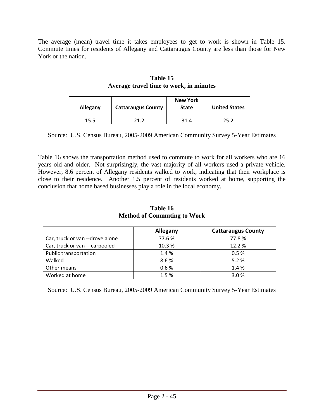The average (mean) travel time it takes employees to get to work is shown in Table 15. Commute times for residents of Allegany and Cattaraugus County are less than those for New York or the nation.

| Allegany | <b>Cattaraugus County</b> | <b>New York</b><br><b>State</b> | <b>United States</b> |
|----------|---------------------------|---------------------------------|----------------------|
| 15.5     | ריר                       | 31.4                            | つに つ                 |

## **Table 15 Average travel time to work, in minutes**

Source: U.S. Census Bureau, 2005-2009 American Community Survey 5-Year Estimates

Table 16 shows the transportation method used to commute to work for all workers who are 16 years old and older. Not surprisingly, the vast majority of all workers used a private vehicle. However, 8.6 percent of Allegany residents walked to work, indicating that their workplace is close to their residence. Another 1.5 percent of residents worked at home, supporting the conclusion that home based businesses play a role in the local economy.

|                                 | Allegany | <b>Cattaraugus County</b> |
|---------------------------------|----------|---------------------------|
| Car, truck or van --drove alone | 77.6%    | 77.8%                     |
| Car, truck or van -- carpooled  | 10.3%    | 12.2%                     |
| Public transportation           | 1.4 %    | 0.5%                      |
| Walked                          | 8.6%     | 5.2%                      |
| Other means                     | 0.6%     | 1.4%                      |
| Worked at home                  | 1.5%     | 3.0%                      |

**Table 16 Method of Commuting to Work** 

Source: U.S. Census Bureau, 2005-2009 American Community Survey 5-Year Estimates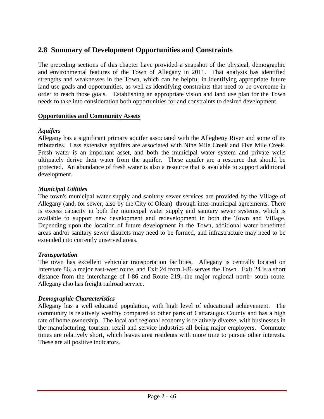# **2.8 Summary of Development Opportunities and Constraints**

The preceding sections of this chapter have provided a snapshot of the physical, demographic and environmental features of the Town of Allegany in 2011. That analysis has identified strengths and weaknesses in the Town, which can be helpful in identifying appropriate future land use goals and opportunities, as well as identifying constraints that need to be overcome in order to reach those goals. Establishing an appropriate vision and land use plan for the Town needs to take into consideration both opportunities for and constraints to desired development.

### **Opportunities and Community Assets**

### *Aquifers*

Allegany has a significant primary aquifer associated with the Allegheny River and some of its tributaries. Less extensive aquifers are associated with Nine Mile Creek and Five Mile Creek. Fresh water is an important asset, and both the municipal water system and private wells ultimately derive their water from the aquifer. These aquifer are a resource that should be protected. An abundance of fresh water is also a resource that is available to support additional development.

### *Municipal Utilities*

The town's municipal water supply and sanitary sewer services are provided by the Village of Allegany (and, for sewer, also by the City of Olean) through inter-municipal agreements. There is excess capacity in both the municipal water supply and sanitary sewer systems, which is available to support new development and redevelopment in both the Town and Village. Depending upon the location of future development in the Town, additional water benefitted areas and/or sanitary sewer districts may need to be formed, and infrastructure may need to be extended into currently unserved areas.

### *Transportation*

The town has excellent vehicular transportation facilities. Allegany is centrally located on Interstate 86, a major east-west route, and Exit 24 from I-86 serves the Town. Exit 24 is a short distance from the interchange of I-86 and Route 219, the major regional north- south route. Allegany also has freight railroad service.

### *Demographic Characteristics*

Allegany has a well educated population, with high level of educational achievement. The community is relatively wealthy compared to other parts of Cattaraugus County and has a high rate of home ownership. The local and regional economy is relatively diverse, with businesses in the manufacturing, tourism, retail and service industries all being major employers. Commute times are relatively short, which leaves area residents with more time to pursue other interests. These are all positive indicators.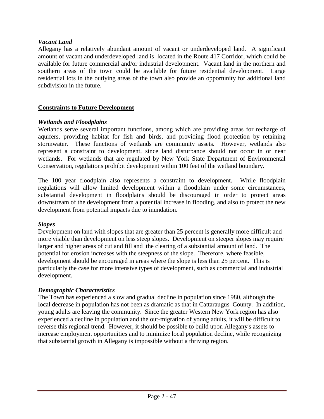## *Vacant Land*

Allegany has a relatively abundant amount of vacant or underdeveloped land. A significant amount of vacant and underdeveloped land is located in the Route 417 Corridor, which could be available for future commercial and/or industrial development. Vacant land in the northern and southern areas of the town could be available for future residential development. Large residential lots in the outlying areas of the town also provide an opportunity for additional land subdivision in the future.

## **Constraints to Future Development**

### *Wetlands and Floodplains*

Wetlands serve several important functions, among which are providing areas for recharge of aquifers, providing habitat for fish and birds, and providing flood protection by retaining stormwater. These functions of wetlands are community assets. However, wetlands also represent a constraint to development, since land disturbance should not occur in or near wetlands. For wetlands that are regulated by New York State Department of Environmental Conservation, regulations prohibit development within 100 feet of the wetland boundary.

The 100 year floodplain also represents a constraint to development. While floodplain regulations will allow limited development within a floodplain under some circumstances, substantial development in floodplains should be discouraged in order to protect areas downstream of the development from a potential increase in flooding, and also to protect the new development from potential impacts due to inundation.

#### *Slopes*

Development on land with slopes that are greater than 25 percent is generally more difficult and more visible than development on less steep slopes. Development on steeper slopes may require larger and higher areas of cut and fill and the clearing of a substantial amount of land. The potential for erosion increases with the steepness of the slope. Therefore, where feasible, development should be encouraged in areas where the slope is less than 25 percent. This is particularly the case for more intensive types of development, such as commercial and industrial development.

### *Demographic Characteristics*

The Town has experienced a slow and gradual decline in population since 1980, although the local decrease in population has not been as dramatic as that in Cattaraugus County. In addition, young adults are leaving the community. Since the greater Western New York region has also experienced a decline in population and the out-migration of young adults, it will be difficult to reverse this regional trend. However, it should be possible to build upon Allegany's assets to increase employment opportunities and to minimize local population decline, while recognizing that substantial growth in Allegany is impossible without a thriving region.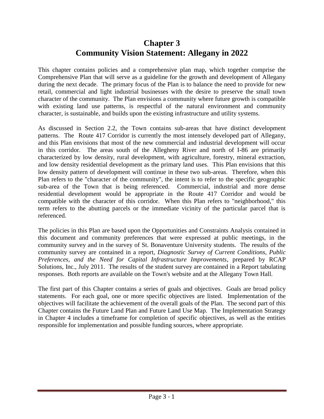# **Chapter 3 Community Vision Statement: Allegany in 2022**

This chapter contains policies and a comprehensive plan map, which together comprise the Comprehensive Plan that will serve as a guideline for the growth and development of Allegany during the next decade. The primary focus of the Plan is to balance the need to provide for new retail, commercial and light industrial businesses with the desire to preserve the small town character of the community. The Plan envisions a community where future growth is compatible with existing land use patterns, is respectful of the natural environment and community character, is sustainable, and builds upon the existing infrastructure and utility systems.

As discussed in Section 2.2, the Town contains sub-areas that have distinct development patterns. The Route 417 Corridor is currently the most intensely developed part of Allegany, and this Plan envisions that most of the new commercial and industrial development will occur in this corridor. The areas south of the Allegheny River and north of I-86 are primarily characterized by low density, rural development, with agriculture, forestry, mineral extraction, and low density residential development as the primary land uses. This Plan envisions that this low density pattern of development will continue in these two sub-areas. Therefore, when this Plan refers to the "character of the community", the intent is to refer to the specific geographic sub-area of the Town that is being referenced. Commercial, industrial and more dense residential development would be appropriate in the Route 417 Corridor and would be compatible with the character of this corridor. When this Plan refers to "neighborhood," this term refers to the abutting parcels or the immediate vicinity of the particular parcel that is referenced.

The policies in this Plan are based upon the Opportunities and Constraints Analysis contained in this document and community preferences that were expressed at public meetings, in the community survey and in the survey of St. Bonaventure University students. The results of the community survey are contained in a report, *Diagnostic Survey of Current Conditions, Public Preferences, and the Need for Capital Infrastructure Improvements*, prepared by RCAP Solutions, Inc., July 2011. The results of the student survey are contained in a Report tabulating responses. Both reports are available on the Town's website and at the Allegany Town Hall.

The first part of this Chapter contains a series of goals and objectives. Goals are broad policy statements. For each goal, one or more specific objectives are listed. Implementation of the objectives will facilitate the achievement of the overall goals of the Plan. The second part of this Chapter contains the Future Land Plan and Future Land Use Map. The Implementation Strategy in Chapter 4 includes a timeframe for completion of specific objectives, as well as the entities responsible for implementation and possible funding sources, where appropriate.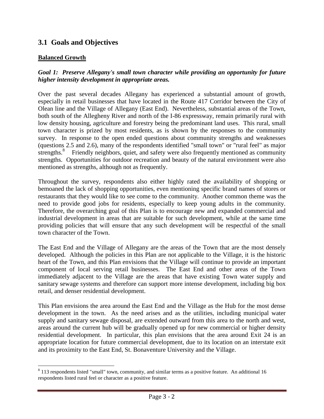# **3.1 Goals and Objectives**

#### **Balanced Growth**

 $\overline{a}$ 

## *Goal 1: Preserve Allegany's small town character while providing an opportunity for future higher intensity development in appropriate areas.*

Over the past several decades Allegany has experienced a substantial amount of growth, especially in retail businesses that have located in the Route 417 Corridor between the City of Olean line and the Village of Allegany (East End). Nevertheless, substantial areas of the Town, both south of the Allegheny River and north of the I-86 expressway, remain primarily rural with low density housing, agriculture and forestry being the predominant land uses. This rural, small town character is prized by most residents, as is shown by the responses to the community survey. In response to the open ended questions about community strengths and weaknesses (questions 2.5 and 2.6), many of the respondents identified "small town" or "rural feel" as major strengths.<sup>8</sup> Friendly neighbors, quiet, and safety were also frequently mentioned as community strengths. Opportunities for outdoor recreation and beauty of the natural environment were also mentioned as strengths, although not as frequently.

Throughout the survey, respondents also either highly rated the availability of shopping or bemoaned the lack of shopping opportunities, even mentioning specific brand names of stores or restaurants that they would like to see come to the community. Another common theme was the need to provide good jobs for residents, especially to keep young adults in the community. Therefore, the overarching goal of this Plan is to encourage new and expanded commercial and industrial development in areas that are suitable for such development, while at the same time providing policies that will ensure that any such development will be respectful of the small town character of the Town.

The East End and the Village of Allegany are the areas of the Town that are the most densely developed. Although the policies in this Plan are not applicable to the Village, it is the historic heart of the Town, and this Plan envisions that the Village will continue to provide an important component of local serving retail businesses. The East End and other areas of the Town immediately adjacent to the Village are the areas that have existing Town water supply and sanitary sewage systems and therefore can support more intense development, including big box retail, and denser residential development.

This Plan envisions the area around the East End and the Village as the Hub for the most dense development in the town. As the need arises and as the utilities, including municipal water supply and sanitary sewage disposal, are extended outward from this area to the north and west, areas around the current hub will be gradually opened up for new commercial or higher density residential development. In particular, this plan envisions that the area around Exit 24 is an appropriate location for future commercial development, due to its location on an interstate exit and its proximity to the East End, St. Bonaventure University and the Village.

 $8$  113 respondents listed "small" town, community, and similar terms as a positive feature. An additional 16 respondents listed rural feel or character as a positive feature.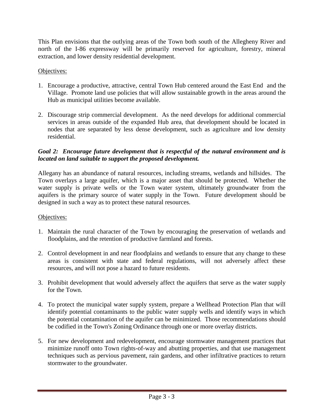This Plan envisions that the outlying areas of the Town both south of the Allegheny River and north of the I-86 expressway will be primarily reserved for agriculture, forestry, mineral extraction, and lower density residential development.

## Objectives:

- 1. Encourage a productive, attractive, central Town Hub centered around the East End and the Village. Promote land use policies that will allow sustainable growth in the areas around the Hub as municipal utilities become available.
- 2. Discourage strip commercial development. As the need develops for additional commercial services in areas outside of the expanded Hub area, that development should be located in nodes that are separated by less dense development, such as agriculture and low density residential.

## *Goal 2: Encourage future development that is respectful of the natural environment and is located on land suitable to support the proposed development.*

Allegany has an abundance of natural resources, including streams, wetlands and hillsides. The Town overlays a large aquifer, which is a major asset that should be protected. Whether the water supply is private wells or the Town water system, ultimately groundwater from the aquifers is the primary source of water supply in the Town. Future development should be designed in such a way as to protect these natural resources.

### Objectives:

- 1. Maintain the rural character of the Town by encouraging the preservation of wetlands and floodplains, and the retention of productive farmland and forests.
- 2. Control development in and near floodplains and wetlands to ensure that any change to these areas is consistent with state and federal regulations, will not adversely affect these resources, and will not pose a hazard to future residents.
- 3. Prohibit development that would adversely affect the aquifers that serve as the water supply for the Town.
- 4. To protect the municipal water supply system, prepare a Wellhead Protection Plan that will identify potential contaminants to the public water supply wells and identify ways in which the potential contamination of the aquifer can be minimized. Those recommendations should be codified in the Town's Zoning Ordinance through one or more overlay districts.
- 5. For new development and redevelopment, encourage stormwater management practices that minimize runoff onto Town rights-of-way and abutting properties, and that use management techniques such as pervious pavement, rain gardens, and other infiltrative practices to return stormwater to the groundwater.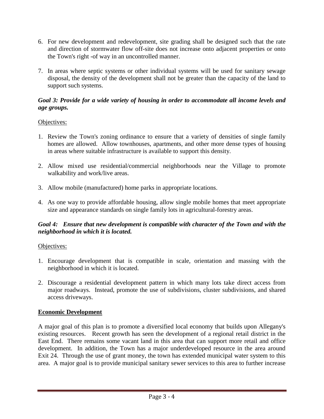- 6. For new development and redevelopment, site grading shall be designed such that the rate and direction of stormwater flow off-site does not increase onto adjacent properties or onto the Town's right -of way in an uncontrolled manner.
- 7. In areas where septic systems or other individual systems will be used for sanitary sewage disposal, the density of the development shall not be greater than the capacity of the land to support such systems.

### *Goal 3: Provide for a wide variety of housing in order to accommodate all income levels and age groups.*

## Objectives:

- 1. Review the Town's zoning ordinance to ensure that a variety of densities of single family homes are allowed. Allow townhouses, apartments, and other more dense types of housing in areas where suitable infrastructure is available to support this density.
- 2. Allow mixed use residential/commercial neighborhoods near the Village to promote walkability and work/live areas.
- 3. Allow mobile (manufactured) home parks in appropriate locations.
- 4. As one way to provide affordable housing, allow single mobile homes that meet appropriate size and appearance standards on single family lots in agricultural-forestry areas.

## *Goal 4: Ensure that new development is compatible with character of the Town and with the neighborhood in which it is located.*

### Objectives:

- 1. Encourage development that is compatible in scale, orientation and massing with the neighborhood in which it is located.
- 2. Discourage a residential development pattern in which many lots take direct access from major roadways. Instead, promote the use of subdivisions, cluster subdivisions, and shared access driveways.

### **Economic Development**

A major goal of this plan is to promote a diversified local economy that builds upon Allegany's existing resources. Recent growth has seen the development of a regional retail district in the East End. There remains some vacant land in this area that can support more retail and office development. In addition, the Town has a major underdeveloped resource in the area around Exit 24. Through the use of grant money, the town has extended municipal water system to this area. A major goal is to provide municipal sanitary sewer services to this area to further increase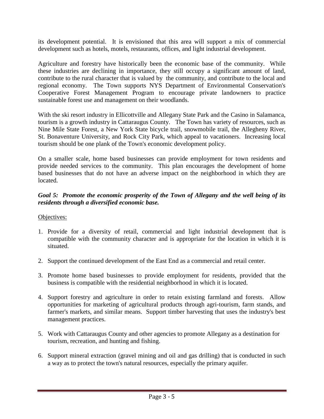its development potential. It is envisioned that this area will support a mix of commercial development such as hotels, motels, restaurants, offices, and light industrial development.

Agriculture and forestry have historically been the economic base of the community. While these industries are declining in importance, they still occupy a significant amount of land, contribute to the rural character that is valued by the community, and contribute to the local and regional economy. The Town supports NYS Department of Environmental Conservation's Cooperative Forest Management Program to encourage private landowners to practice sustainable forest use and management on their woodlands.

With the ski resort industry in Ellicottville and Allegany State Park and the Casino in Salamanca, tourism is a growth industry in Cattaraugus County. The Town has variety of resources, such as Nine Mile State Forest, a New York State bicycle trail, snowmobile trail, the Allegheny River, St. Bonaventure University, and Rock City Park, which appeal to vacationers. Increasing local tourism should be one plank of the Town's economic development policy.

On a smaller scale, home based businesses can provide employment for town residents and provide needed services to the community. This plan encourages the development of home based businesses that do not have an adverse impact on the neighborhood in which they are located.

## *Goal 5: Promote the economic prosperity of the Town of Allegany and the well being of its residents through a diversified economic base.*

## Objectives:

- 1. Provide for a diversity of retail, commercial and light industrial development that is compatible with the community character and is appropriate for the location in which it is situated.
- 2. Support the continued development of the East End as a commercial and retail center.
- 3. Promote home based businesses to provide employment for residents, provided that the business is compatible with the residential neighborhood in which it is located.
- 4. Support forestry and agriculture in order to retain existing farmland and forests. Allow opportunities for marketing of agricultural products through agri-tourism, farm stands, and farmer's markets, and similar means. Support timber harvesting that uses the industry's best management practices.
- 5. Work with Cattaraugus County and other agencies to promote Allegany as a destination for tourism, recreation, and hunting and fishing.
- 6. Support mineral extraction (gravel mining and oil and gas drilling) that is conducted in such a way as to protect the town's natural resources, especially the primary aquifer.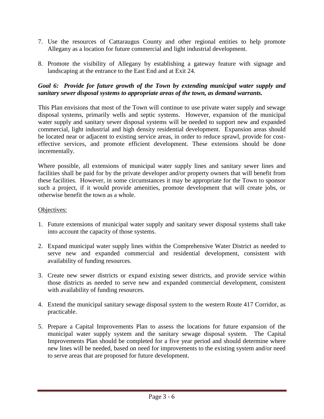- 7. Use the resources of Cattaraugus County and other regional entities to help promote Allegany as a location for future commercial and light industrial development.
- 8. Promote the visibility of Allegany by establishing a gateway feature with signage and landscaping at the entrance to the East End and at Exit 24.

## *Goal 6: Provide for future growth of the Town by extending municipal water supply and sanitary sewer disposal systems to appropriate areas of the town, as demand warrants.*

This Plan envisions that most of the Town will continue to use private water supply and sewage disposal systems, primarily wells and septic systems. However, expansion of the municipal water supply and sanitary sewer disposal systems will be needed to support new and expanded commercial, light industrial and high density residential development. Expansion areas should be located near or adjacent to existing service areas, in order to reduce sprawl, provide for costeffective services, and promote efficient development. These extensions should be done incrementally.

Where possible, all extensions of municipal water supply lines and sanitary sewer lines and facilities shall be paid for by the private developer and/or property owners that will benefit from these facilities. However, in some circumstances it may be appropriate for the Town to sponsor such a project, if it would provide amenities, promote development that will create jobs, or otherwise benefit the town as a whole.

#### Objectives:

- 1. Future extensions of municipal water supply and sanitary sewer disposal systems shall take into account the capacity of those systems.
- 2. Expand municipal water supply lines within the Comprehensive Water District as needed to serve new and expanded commercial and residential development, consistent with availability of funding resources.
- 3. Create new sewer districts or expand existing sewer districts, and provide service within those districts as needed to serve new and expanded commercial development, consistent with availability of funding resources.
- 4. Extend the municipal sanitary sewage disposal system to the western Route 417 Corridor, as practicable.
- 5. Prepare a Capital Improvements Plan to assess the locations for future expansion of the municipal water supply system and the sanitary sewage disposal system. The Capital Improvements Plan should be completed for a five year period and should determine where new lines will be needed, based on need for improvements to the existing system and/or need to serve areas that are proposed for future development.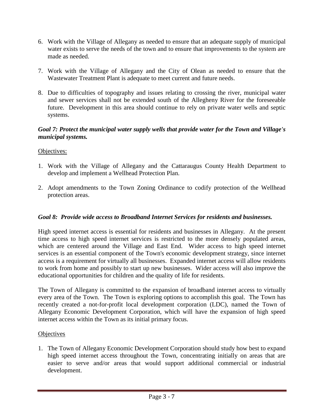- 6. Work with the Village of Allegany as needed to ensure that an adequate supply of municipal water exists to serve the needs of the town and to ensure that improvements to the system are made as needed.
- 7. Work with the Village of Allegany and the City of Olean as needed to ensure that the Wastewater Treatment Plant is adequate to meet current and future needs.
- 8. Due to difficulties of topography and issues relating to crossing the river, municipal water and sewer services shall not be extended south of the Allegheny River for the foreseeable future. Development in this area should continue to rely on private water wells and septic systems.

## *Goal 7: Protect the municipal water supply wells that provide water for the Town and Village's municipal systems.*

## Objectives:

- 1. Work with the Village of Allegany and the Cattaraugus County Health Department to develop and implement a Wellhead Protection Plan.
- 2. Adopt amendments to the Town Zoning Ordinance to codify protection of the Wellhead protection areas.

## *Goal 8: Provide wide access to Broadband Internet Services for residents and businesses.*

High speed internet access is essential for residents and businesses in Allegany. At the present time access to high speed internet services is restricted to the more densely populated areas, which are centered around the Village and East End. Wider access to high speed internet services is an essential component of the Town's economic development strategy, since internet access is a requirement for virtually all businesses. Expanded internet access will allow residents to work from home and possibly to start up new businesses. Wider access will also improve the educational opportunities for children and the quality of life for residents.

The Town of Allegany is committed to the expansion of broadband internet access to virtually every area of the Town. The Town is exploring options to accomplish this goal. The Town has recently created a not-for-profit local development corporation (LDC), named the Town of Allegany Economic Development Corporation, which will have the expansion of high speed internet access within the Town as its initial primary focus.

### **Objectives**

1. The Town of Allegany Economic Development Corporation should study how best to expand high speed internet access throughout the Town, concentrating initially on areas that are easier to serve and/or areas that would support additional commercial or industrial development.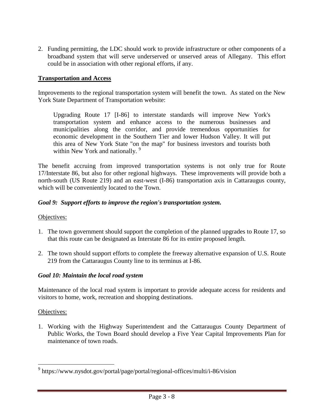2. Funding permitting, the LDC should work to provide infrastructure or other components of a broadband system that will serve underserved or unserved areas of Allegany. This effort could be in association with other regional efforts, if any.

## **Transportation and Access**

Improvements to the regional transportation system will benefit the town. As stated on the New York State Department of Transportation website:

Upgrading Route 17 [I-86] to interstate standards will improve New York's transportation system and enhance access to the numerous businesses and municipalities along the corridor, and provide tremendous opportunities for economic development in the Southern Tier and lower Hudson Valley. It will put this area of New York State "on the map" for business investors and tourists both within New York and nationally.<sup>9</sup>

The benefit accruing from improved transportation systems is not only true for Route 17/Interstate 86, but also for other regional highways. These improvements will provide both a north-south (US Route 219) and an east-west (I-86) transportation axis in Cattaraugus county, which will be conveniently located to the Town.

### *Goal 9: Support efforts to improve the region's transportation system.*

#### Objectives:

- 1. The town government should support the completion of the planned upgrades to Route 17, so that this route can be designated as Interstate 86 for its entire proposed length.
- 2. The town should support efforts to complete the freeway alternative expansion of U.S. Route 219 from the Cattaraugus County line to its terminus at I-86.

### *Goal 10: Maintain the local road system*

Maintenance of the local road system is important to provide adequate access for residents and visitors to home, work, recreation and shopping destinations.

#### Objectives:

1. Working with the Highway Superintendent and the Cattaraugus County Department of Public Works, the Town Board should develop a Five Year Capital Improvements Plan for maintenance of town roads.

 9 https://www.nysdot.gov/portal/page/portal/regional-offices/multi/i-86/vision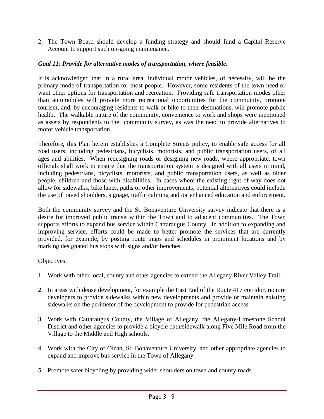2. The Town Board should develop a funding strategy and should fund a Capital Reserve Account to support such on-going maintenance.

## *Goal 11: Provide for alternative modes of transportation, where feasible.*

It is acknowledged that in a rural area, individual motor vehicles, of necessity, will be the primary mode of transportation for most people. However, some residents of the town need or want other options for transportation and recreation. Providing safe transportation modes other than automobiles will provide more recreational opportunities for the community, promote tourism, and, by encouraging residents to walk or bike to their destinations, will promote public health. The walkable nature of the community, convenience to work and shops were mentioned as assets by respondents to the community survey, as was the need to provide alternatives to motor vehicle transportation.

Therefore, this Plan herein establishes a Complete Streets policy, to enable safe access for all road users, including pedestrians, bicyclists, motorists, and public transportation users, of all ages and abilities. When redesigning roads or designing new roads, where appropriate, town officials shall work to ensure that the transportation system is designed with all users in mind, including pedestrians, bicyclists, motorists, and public transportation users, as well as older people, children and those with disabilities. In cases where the existing right-of-way does not allow for sidewalks, bike lanes, paths or other improvements, potential alternatives could include the use of paved shoulders, signage, traffic calming and /or enhanced education and enforcement.

Both the community survey and the St. Bonaventure University survey indicate that there is a desire for improved public transit within the Town and to adjacent communities. The Town supports efforts to expand bus service within Cattaraugus County. In addition to expanding and improving service, efforts could be made to better promote the services that are currently provided, for example, by posting route maps and schedules in prominent locations and by marking designated bus stops with signs and/or benches.

### Objectives:

- 1. Work with other local, county and other agencies to extend the Allegany River Valley Trail.
- 2. In areas with dense development, for example the East End of the Route 417 corridor, require developers to provide sidewalks within new developments and provide or maintain existing sidewalks on the perimeter of the development to provide for pedestrian access.
- 3. Work with Cattaraugus County, the Village of Allegany, the Allegany-Limestone School District and other agencies to provide a bicycle path/sidewalk along Five Mile Road from the Village to the Middle and High schools.
- 4. Work with the City of Olean, St. Bonaventure University, and other appropriate agencies to expand and improve bus service in the Town of Allegany.
- 5. Promote safer bicycling by providing wider shoulders on town and county roads.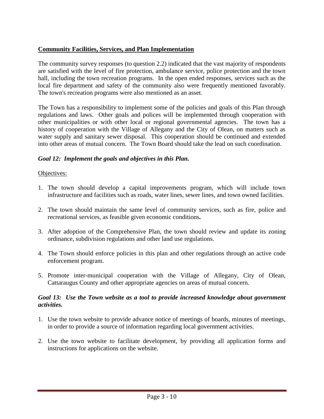## **Community Facilities, Services, and Plan Implementation**

The community survey responses (to question 2.2) indicated that the vast majority of respondents are satisfied with the level of fire protection, ambulance service, police protection and the town hall, including the town recreation programs. In the open ended responses, services such as the local fire department and safety of the community also were frequently mentioned favorably. The town's recreation programs were also mentioned as an asset.

The Town has a responsibility to implement some of the policies and goals of this Plan through regulations and laws. Other goals and polices will be implemented through cooperation with other municipalities or with other local or regional governmental agencies. The town has a history of cooperation with the Village of Allegany and the City of Olean, on matters such as water supply and sanitary sewer disposal. This cooperation should be continued and extended into other areas of mutual concern. The Town Board should take the lead on such coordination.

### *Goal 12: Implement the goals and objectives in this Plan.*

### Objectives:

- 1. The town should develop a capital improvements program, which will include town infrastructure and facilities such as roads, water lines, sewer lines, and town owned facilities.
- 2. The town should maintain the same level of community services, such as fire, police and recreational services, as feasible given economic conditions*.*
- 3. After adoption of the Comprehensive Plan, the town should review and update its zoning ordinance, subdivision regulations and other land use regulations.
- 4. The Town should enforce policies in this plan and other regulations through an active code enforcement program.
- 5. Promote inter-municipal cooperation with the Village of Allegany, City of Olean, Cattaraugus County and other appropriate agencies on areas of mutual concern.

### *Goal 13: Use the Town website as a tool to provide increased knowledge about government activities.*

- 1. Use the town website to provide advance notice of meetings of boards, minutes of meetings, in order to provide a source of information regarding local government activities.
- 2. Use the town website to facilitate development, by providing all application forms and instructions for applications on the website.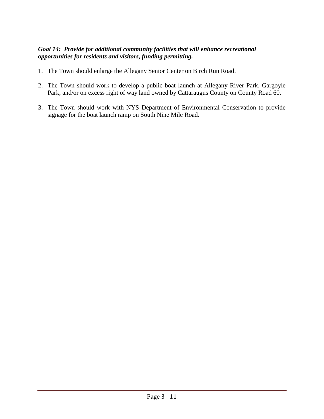## *Goal 14: Provide for additional community facilities that will enhance recreational opportunities for residents and visitors, funding permitting.*

- 1. The Town should enlarge the Allegany Senior Center on Birch Run Road.
- 2. The Town should work to develop a public boat launch at Allegany River Park, Gargoyle Park, and/or on excess right of way land owned by Cattaraugus County on County Road 60.
- 3. The Town should work with NYS Department of Environmental Conservation to provide signage for the boat launch ramp on South Nine Mile Road.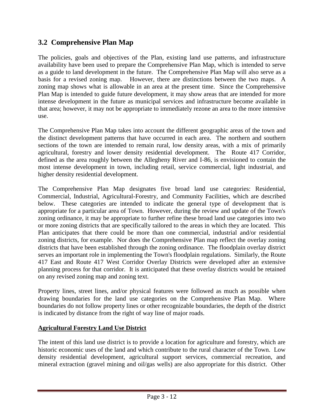# **3.2 Comprehensive Plan Map**

The policies, goals and objectives of the Plan, existing land use patterns, and infrastructure availability have been used to prepare the Comprehensive Plan Map, which is intended to serve as a guide to land development in the future. The Comprehensive Plan Map will also serve as a basis for a revised zoning map. However, there are distinctions between the two maps. A zoning map shows what is allowable in an area at the present time. Since the Comprehensive Plan Map is intended to guide future development, it may show areas that are intended for more intense development in the future as municipal services and infrastructure become available in that area; however, it may not be appropriate to immediately rezone an area to the more intensive use.

The Comprehensive Plan Map takes into account the different geographic areas of the town and the distinct development patterns that have occurred in each area. The northern and southern sections of the town are intended to remain rural, low density areas, with a mix of primarily agricultural, forestry and lower density residential development. The Route 417 Corridor, defined as the area roughly between the Allegheny River and I-86, is envisioned to contain the most intense development in town, including retail, service commercial, light industrial, and higher density residential development.

The Comprehensive Plan Map designates five broad land use categories: Residential, Commercial, Industrial, Agricultural-Forestry, and Community Facilities, which are described below. These categories are intended to indicate the general type of development that is appropriate for a particular area of Town. However, during the review and update of the Town's zoning ordinance, it may be appropriate to further refine these broad land use categories into two or more zoning districts that are specifically tailored to the areas in which they are located. This Plan anticipates that there could be more than one commercial, industrial and/or residential zoning districts, for example. Nor does the Comprehensive Plan map reflect the overlay zoning districts that have been established through the zoning ordinance. The floodplain overlay district serves an important role in implementing the Town's floodplain regulations. Similarly, the Route 417 East and Route 417 West Corridor Overlay Districts were developed after an extensive planning process for that corridor. It is anticipated that these overlay districts would be retained on any revised zoning map and zoning text.

Property lines, street lines, and/or physical features were followed as much as possible when drawing boundaries for the land use categories on the Comprehensive Plan Map. Where boundaries do not follow property lines or other recognizable boundaries, the depth of the district is indicated by distance from the right of way line of major roads.

## **Agricultural Forestry Land Use District**

The intent of this land use district is to provide a location for agriculture and forestry, which are historic economic uses of the land and which contribute to the rural character of the Town. Low density residential development, agricultural support services, commercial recreation, and mineral extraction (gravel mining and oil/gas wells) are also appropriate for this district. Other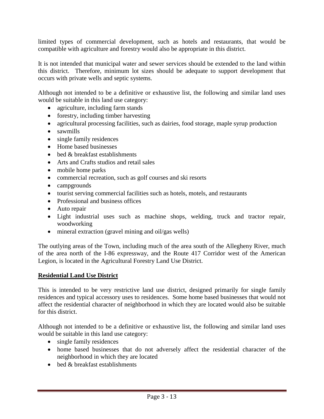limited types of commercial development, such as hotels and restaurants, that would be compatible with agriculture and forestry would also be appropriate in this district.

It is not intended that municipal water and sewer services should be extended to the land within this district. Therefore, minimum lot sizes should be adequate to support development that occurs with private wells and septic systems.

Although not intended to be a definitive or exhaustive list, the following and similar land uses would be suitable in this land use category:

- agriculture, including farm stands
- forestry, including timber harvesting
- agricultural processing facilities, such as dairies, food storage, maple syrup production
- sawmills
- single family residences
- Home based businesses
- bed & breakfast establishments
- Arts and Crafts studios and retail sales
- mobile home parks
- commercial recreation, such as golf courses and ski resorts
- campgrounds
- tourist serving commercial facilities such as hotels, motels, and restaurants
- Professional and business offices
- Auto repair
- Light industrial uses such as machine shops, welding, truck and tractor repair, woodworking
- mineral extraction (gravel mining and oil/gas wells)

The outlying areas of the Town, including much of the area south of the Allegheny River, much of the area north of the I-86 expressway, and the Route 417 Corridor west of the American Legion, is located in the Agricultural Forestry Land Use District.

#### **Residential Land Use District**

This is intended to be very restrictive land use district, designed primarily for single family residences and typical accessory uses to residences. Some home based businesses that would not affect the residential character of neighborhood in which they are located would also be suitable for this district.

Although not intended to be a definitive or exhaustive list, the following and similar land uses would be suitable in this land use category:

- single family residences
- home based businesses that do not adversely affect the residential character of the neighborhood in which they are located
- $\bullet$  bed & breakfast establishments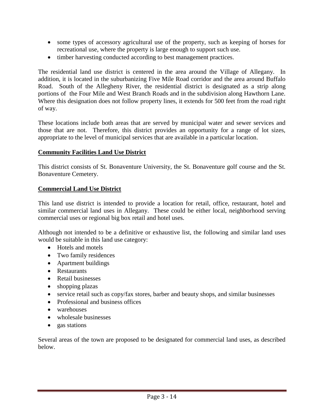- some types of accessory agricultural use of the property, such as keeping of horses for recreational use, where the property is large enough to support such use.
- timber harvesting conducted according to best management practices.

The residential land use district is centered in the area around the Village of Allegany. In addition, it is located in the suburbanizing Five Mile Road corridor and the area around Buffalo Road. South of the Allegheny River, the residential district is designated as a strip along portions of the Four Mile and West Branch Roads and in the subdivision along Hawthorn Lane. Where this designation does not follow property lines, it extends for 500 feet from the road right of way.

These locations include both areas that are served by municipal water and sewer services and those that are not. Therefore, this district provides an opportunity for a range of lot sizes, appropriate to the level of municipal services that are available in a particular location.

#### **Community Facilities Land Use District**

This district consists of St. Bonaventure University, the St. Bonaventure golf course and the St. Bonaventure Cemetery.

#### **Commercial Land Use District**

This land use district is intended to provide a location for retail, office, restaurant, hotel and similar commercial land uses in Allegany. These could be either local, neighborhood serving commercial uses or regional big box retail and hotel uses.

Although not intended to be a definitive or exhaustive list, the following and similar land uses would be suitable in this land use category:

- Hotels and motels
- Two family residences
- Apartment buildings
- Restaurants
- Retail businesses
- shopping plazas
- service retail such as copy/fax stores, barber and beauty shops, and similar businesses
- Professional and business offices
- warehouses
- wholesale businesses
- gas stations

Several areas of the town are proposed to be designated for commercial land uses, as described below.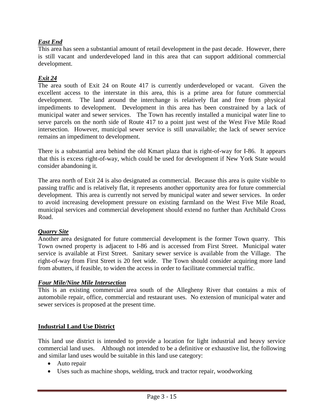## *East End*

This area has seen a substantial amount of retail development in the past decade. However, there is still vacant and underdeveloped land in this area that can support additional commercial development.

## *Exit 24*

The area south of Exit 24 on Route 417 is currently underdeveloped or vacant. Given the excellent access to the interstate in this area, this is a prime area for future commercial development. The land around the interchange is relatively flat and free from physical impediments to development. Development in this area has been constrained by a lack of municipal water and sewer services. The Town has recently installed a municipal water line to serve parcels on the north side of Route 417 to a point just west of the West Five Mile Road intersection. However, municipal sewer service is still unavailable; the lack of sewer service remains an impediment to development.

There is a substantial area behind the old Kmart plaza that is right-of-way for I-86. It appears that this is excess right-of-way, which could be used for development if New York State would consider abandoning it.

The area north of Exit 24 is also designated as commercial. Because this area is quite visible to passing traffic and is relatively flat, it represents another opportunity area for future commercial development. This area is currently not served by municipal water and sewer services. In order to avoid increasing development pressure on existing farmland on the West Five Mile Road, municipal services and commercial development should extend no further than Archibald Cross Road.

## *Quarry Site*

Another area designated for future commercial development is the former Town quarry. This Town owned property is adjacent to I-86 and is accessed from First Street. Municipal water service is available at First Street. Sanitary sewer service is available from the Village. The right-of-way from First Street is 20 feet wide. The Town should consider acquiring more land from abutters, if feasible, to widen the access in order to facilitate commercial traffic.

## *Four Mile/Nine Mile Intersection*

This is an existing commercial area south of the Allegheny River that contains a mix of automobile repair, office, commercial and restaurant uses. No extension of municipal water and sewer services is proposed at the present time.

## **Industrial Land Use District**

This land use district is intended to provide a location for light industrial and heavy service commercial land uses. Although not intended to be a definitive or exhaustive list, the following and similar land uses would be suitable in this land use category:

- Auto repair
- Uses such as machine shops, welding, truck and tractor repair, woodworking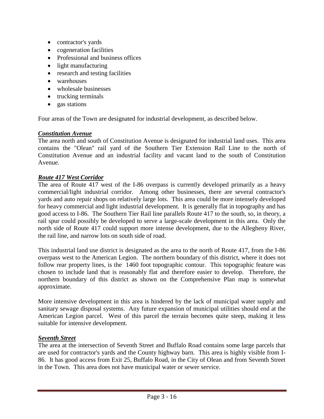- contractor's yards
- cogeneration facilities
- Professional and business offices
- light manufacturing
- research and testing facilities
- warehouses
- wholesale businesses
- trucking terminals
- gas stations

Four areas of the Town are designated for industrial development, as described below.

## *Constitution Avenue*

The area north and south of Constitution Avenue is designated for industrial land uses. This area contains the "Olean" rail yard of the Southern Tier Extension Rail Line to the north of Constitution Avenue and an industrial facility and vacant land to the south of Constitution Avenue.

## *Route 417 West Corridor*

The area of Route 417 west of the I-86 overpass is currently developed primarily as a heavy commercial/light industrial corridor. Among other businesses, there are several contractor's yards and auto repair shops on relatively large lots. This area could be more intensely developed for heavy commercial and light industrial development. It is generally flat in topography and has good access to I-86. The Southern Tier Rail line parallels Route 417 to the south, so, in theory, a rail spur could possibly be developed to serve a large-scale development in this area. Only the north side of Route 417 could support more intense development, due to the Allegheny River, the rail line, and narrow lots on south side of road.

This industrial land use district is designated as the area to the north of Route 417, from the I-86 overpass west to the American Legion. The northern boundary of this district, where it does not follow rear property lines, is the 1460 foot topographic contour. This topographic feature was chosen to include land that is reasonably flat and therefore easier to develop. Therefore, the northern boundary of this district as shown on the Comprehensive Plan map is somewhat approximate.

More intensive development in this area is hindered by the lack of municipal water supply and sanitary sewage disposal systems. Any future expansion of municipal utilities should end at the American Legion parcel. West of this parcel the terrain becomes quite steep, making it less suitable for intensive development.

## *Seventh Street*

The area at the intersection of Seventh Street and Buffalo Road contains some large parcels that are used for contractor's yards and the County highway barn. This area is highly visible from I-86. It has good access from Exit 25, Buffalo Road, in the City of Olean and from Seventh Street in the Town. This area does not have municipal water or sewer service.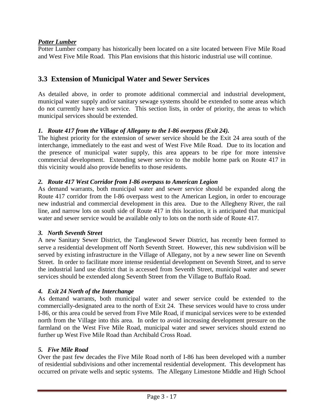## *Potter Lumber*

Potter Lumber company has historically been located on a site located between Five Mile Road and West Five Mile Road. This Plan envisions that this historic industrial use will continue.

## **3.3 Extension of Municipal Water and Sewer Services**

As detailed above, in order to promote additional commercial and industrial development, municipal water supply and/or sanitary sewage systems should be extended to some areas which do not currently have such service. This section lists, in order of priority, the areas to which municipal services should be extended.

## *1. Route 417 from the Village of Allegany to the I-86 overpass (Exit 24).*

The highest priority for the extension of sewer service should be the Exit 24 area south of the interchange, immediately to the east and west of West Five Mile Road. Due to its location and the presence of municipal water supply, this area appears to be ripe for more intensive commercial development. Extending sewer service to the mobile home park on Route 417 in this vicinity would also provide benefits to those residents.

## *2. Route 417 West Corridor from I-86 overpass to American Legion*

As demand warrants, both municipal water and sewer service should be expanded along the Route 417 corridor from the I-86 overpass west to the American Legion, in order to encourage new industrial and commercial development in this area. Due to the Allegheny River, the rail line, and narrow lots on south side of Route 417 in this location, it is anticipated that municipal water and sewer service would be available only to lots on the north side of Route 417.

## *3. North Seventh Street*

A new Sanitary Sewer District, the Tanglewood Sewer District, has recently been formed to serve a residential development off North Seventh Street. However, this new subdivision will be served by existing infrastructure in the Village of Allegany, not by a new sewer line on Seventh Street. In order to facilitate more intense residential development on Seventh Street, and to serve the industrial land use district that is accessed from Seventh Street, municipal water and sewer services should be extended along Seventh Street from the Village to Buffalo Road.

## *4. Exit 24 North of the Interchange*

As demand warrants, both municipal water and sewer service could be extended to the commercially-designated area to the north of Exit 24. These services would have to cross under I-86, or this area could be served from Five Mile Road, if municipal services were to be extended north from the Village into this area. In order to avoid increasing development pressure on the farmland on the West Five Mile Road, municipal water and sewer services should extend no further up West Five Mile Road than Archibald Cross Road.

## *5. Five Mile Road*

Over the past few decades the Five Mile Road north of I-86 has been developed with a number of residential subdivisions and other incremental residential development. This development has occurred on private wells and septic systems. The Allegany Limestone Middle and High School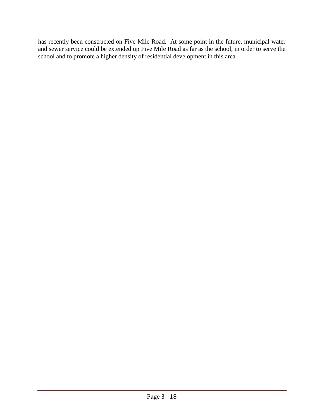has recently been constructed on Five Mile Road. At some point in the future, municipal water and sewer service could be extended up Five Mile Road as far as the school, in order to serve the school and to promote a higher density of residential development in this area.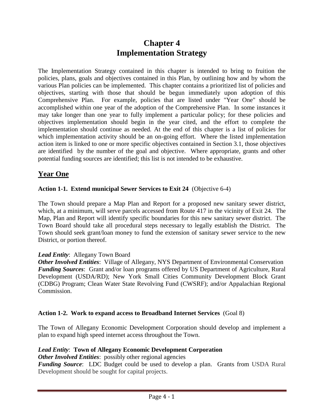# **Chapter 4 Implementation Strategy**

The Implementation Strategy contained in this chapter is intended to bring to fruition the policies, plans, goals and objectives contained in this Plan, by outlining how and by whom the various Plan policies can be implemented. This chapter contains a prioritized list of policies and objectives, starting with those that should be begun immediately upon adoption of this Comprehensive Plan. For example, policies that are listed under "Year One" should be accomplished within one year of the adoption of the Comprehensive Plan. In some instances it may take longer than one year to fully implement a particular policy; for these policies and objectives implementation should begin in the year cited, and the effort to complete the implementation should continue as needed. At the end of this chapter is a list of policies for which implementation activity should be an on-going effort. Where the listed implementation action item is linked to one or more specific objectives contained in Section 3.1, those objectives are identified by the number of the goal and objective. Where appropriate, grants and other potential funding sources are identified; this list is not intended to be exhaustive.

# **Year One**

## **Action 1-1. Extend municipal Sewer Services to Exit 24** (Objective 6-4)

The Town should prepare a Map Plan and Report for a proposed new sanitary sewer district, which, at a minimum, will serve parcels accessed from Route 417 in the vicinity of Exit 24. The Map, Plan and Report will identify specific boundaries for this new sanitary sewer district. The Town Board should take all procedural steps necessary to legally establish the District. The Town should seek grant/loan money to fund the extension of sanitary sewer service to the new District, or portion thereof.

## *Lead Entity*: Allegany Town Board

*Other Involved Entities*: Village of Allegany, NYS Department of Environmental Conservation *Funding Sources*: Grant and/or loan programs offered by US Department of Agriculture, Rural Development (USDA/RD); New York Small Cities Community Development Block Grant (CDBG) Program; Clean Water State Revolving Fund (CWSRF); and/or Appalachian Regional Commission.

## **Action 1-2. Work to expand access to Broadband Internet Services** (Goal 8)

The Town of Allegany Economic Development Corporation should develop and implement a plan to expand high speed internet access throughout the Town.

## *Lead Entity*: **Town of Allegany Economic Development Corporation**

*Other Involved Entities:* possibly other regional agencies

*Funding Source*: LDC Budget could be used to develop a plan. Grants from USDA Rural Development should be sought for capital projects.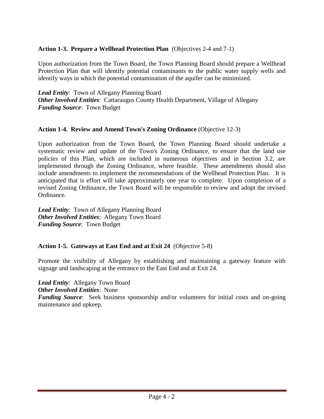## **Action 1-3. Prepare a Wellhead Protection Plan** (Objectives 2-4 and 7-1)

Upon authorization from the Town Board, the Town Planning Board should prepare a Wellhead Protection Plan that will identify potential contaminants to the public water supply wells and identify ways in which the potential contamination of the aquifer can be minimized.

*Lead Entity*: Town of Allegany Planning Board *Other Involved Entities*: Cattaraugus County Health Department, Village of Allegany *Funding Source*: Town Budget

## **Action 1-4. Review and Amend Town's Zoning Ordinance** (Objective 12-3)

Upon authorization from the Town Board, the Town Planning Board should undertake a systematic review and update of the Town's Zoning Ordinance, to ensure that the land use policies of this Plan, which are included in numerous objectives and in Section 3.2, are implemented through the Zoning Ordinance, where feasible. These amendments should also include amendments to implement the recommendations of the Wellhead Protection Plan. It is anticipated that is effort will take approximately one year to complete. Upon completion of a revised Zoning Ordinance, the Town Board will be responsible to review and adopt the revised Ordinance.

*Lead Entity*: Town of Allegany Planning Board *Other Involved Entities*: Allegany Town Board *Funding Source*: Town Budget

## **Action 1-5. Gateways at East End and at Exit 24** (Objective 5-8)

Promote the visibility of Allegany by establishing and maintaining a gateway feature with signage and landscaping at the entrance to the East End and at Exit 24.

*Lead Entity*: Allegany Town Board *Other Involved Entities*: None *Funding Source*: Seek business sponsorship and/or volunteers for initial costs and on-going maintenance and upkeep.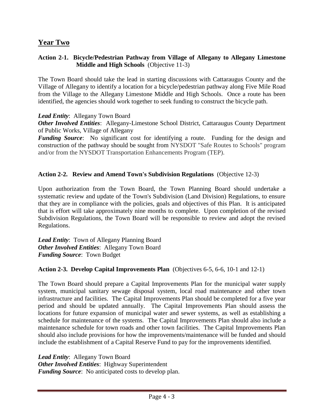## **Year Two**

## **Action 2-1. Bicycle/Pedestrian Pathway from Village of Allegany to Allegany Limestone Middle and High Schools** (Objective 11-3)

The Town Board should take the lead in starting discussions with Cattaraugus County and the Village of Allegany to identify a location for a bicycle/pedestrian pathway along Five Mile Road from the Village to the Allegany Limestone Middle and High Schools. Once a route has been identified, the agencies should work together to seek funding to construct the bicycle path.

*Lead Entity*: Allegany Town Board

*Other Involved Entities*: Allegany-Limestone School District, Cattaraugus County Department of Public Works, Village of Allegany

*Funding Source*: No significant cost for identifying a route. Funding for the design and construction of the pathway should be sought from NYSDOT "Safe Routes to Schools" program and/or from the NYSDOT Transportation Enhancements Program (TEP).

## **Action 2-2. Review and Amend Town's Subdivision Regulations** (Objective 12-3)

Upon authorization from the Town Board, the Town Planning Board should undertake a systematic review and update of the Town's Subdivision (Land Division) Regulations, to ensure that they are in compliance with the policies, goals and objectives of this Plan. It is anticipated that is effort will take approximately nine months to complete. Upon completion of the revised Subdivision Regulations, the Town Board will be responsible to review and adopt the revised Regulations.

*Lead Entity*: Town of Allegany Planning Board *Other Involved Entities*: Allegany Town Board *Funding Source*: Town Budget

## **Action 2-3. Develop Capital Improvements Plan** (Objectives 6-5, 6-6, 10-1 and 12-1)

The Town Board should prepare a Capital Improvements Plan for the municipal water supply system, municipal sanitary sewage disposal system, local road maintenance and other town infrastructure and facilities. The Capital Improvements Plan should be completed for a five year period and should be updated annually. The Capital Improvements Plan should assess the locations for future expansion of municipal water and sewer systems, as well as establishing a schedule for maintenance of the systems. The Capital Improvements Plan should also include a maintenance schedule for town roads and other town facilities. The Capital Improvements Plan should also include provisions for how the improvements/maintenance will be funded and should include the establishment of a Capital Reserve Fund to pay for the improvements identified.

*Lead Entity*: Allegany Town Board *Other Involved Entities*: Highway Superintendent *Funding Source*: No anticipated costs to develop plan.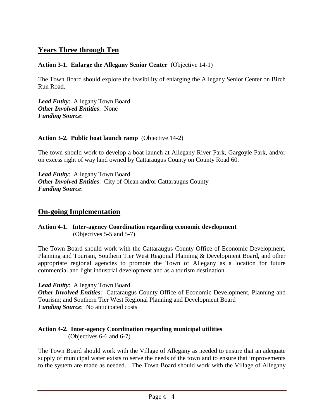# **Years Three through Ten**

## **Action 3-1. Enlarge the Allegany Senior Center** (Objective 14-1)

The Town Board should explore the feasibility of enlarging the Allegany Senior Center on Birch Run Road.

*Lead Entity*: Allegany Town Board *Other Involved Entities*: None *Funding Source*:

#### **Action 3-2. Public boat launch ramp** (Objective 14-2)

The town should work to develop a boat launch at Allegany River Park, Gargoyle Park, and/or on excess right of way land owned by Cattaraugus County on County Road 60.

*Lead Entity*: Allegany Town Board *Other Involved Entities*: City of Olean and/or Cattaraugus County *Funding Source*:

## **On-going Implementation**

**Action 4-1. Inter-agency Coordination regarding economic development**  (Objectives 5-5 and 5-7)

The Town Board should work with the Cattaraugus County Office of Economic Development, Planning and Tourism, Southern Tier West Regional Planning & Development Board, and other appropriate regional agencies to promote the Town of Allegany as a location for future commercial and light industrial development and as a tourism destination.

*Lead Entity*: Allegany Town Board

*Other Involved Entities*: Cattaraugus County Office of Economic Development, Planning and Tourism; and Southern Tier West Regional Planning and Development Board *Funding Source*: No anticipated costs

## **Action 4-2. Inter-agency Coordination regarding municipal utilities**

(Objectives 6-6 and 6-7)

The Town Board should work with the Village of Allegany as needed to ensure that an adequate supply of municipal water exists to serve the needs of the town and to ensure that improvements to the system are made as needed. The Town Board should work with the Village of Allegany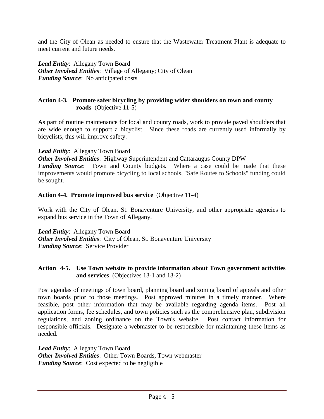and the City of Olean as needed to ensure that the Wastewater Treatment Plant is adequate to meet current and future needs.

*Lead Entity*: Allegany Town Board *Other Involved Entities*: Village of Allegany; City of Olean *Funding Source*: No anticipated costs

## **Action 4-3. Promote safer bicycling by providing wider shoulders on town and county roads** (Objective 11-5)

As part of routine maintenance for local and county roads, work to provide paved shoulders that are wide enough to support a bicyclist. Since these roads are currently used informally by bicyclists, this will improve safety.

## *Lead Entity*: Allegany Town Board

*Other Involved Entities*: Highway Superintendent and Cattaraugus County DPW *Funding Source*: Town and County budgets. Where a case could be made that these improvements would promote bicycling to local schools, "Safe Routes to Schools" funding could be sought.

#### **Action 4-4. Promote improved bus service** (Objective 11-4)

Work with the City of Olean, St. Bonaventure University, and other appropriate agencies to expand bus service in the Town of Allegany.

*Lead Entity*: Allegany Town Board *Other Involved Entities: City of Olean, St. Bonaventure University Funding Source*: Service Provider

## **Action 4-5. Use Town website to provide information about Town government activities and services** (Objectives 13-1 and 13-2)

Post agendas of meetings of town board, planning board and zoning board of appeals and other town boards prior to those meetings. Post approved minutes in a timely manner. Where feasible, post other information that may be available regarding agenda items. Post all application forms, fee schedules, and town policies such as the comprehensive plan, subdivision regulations, and zoning ordinance on the Town's website. Post contact information for responsible officials. Designate a webmaster to be responsible for maintaining these items as needed.

*Lead Entity*: Allegany Town Board *Other Involved Entities*: Other Town Boards, Town webmaster *Funding Source*: Cost expected to be negligible